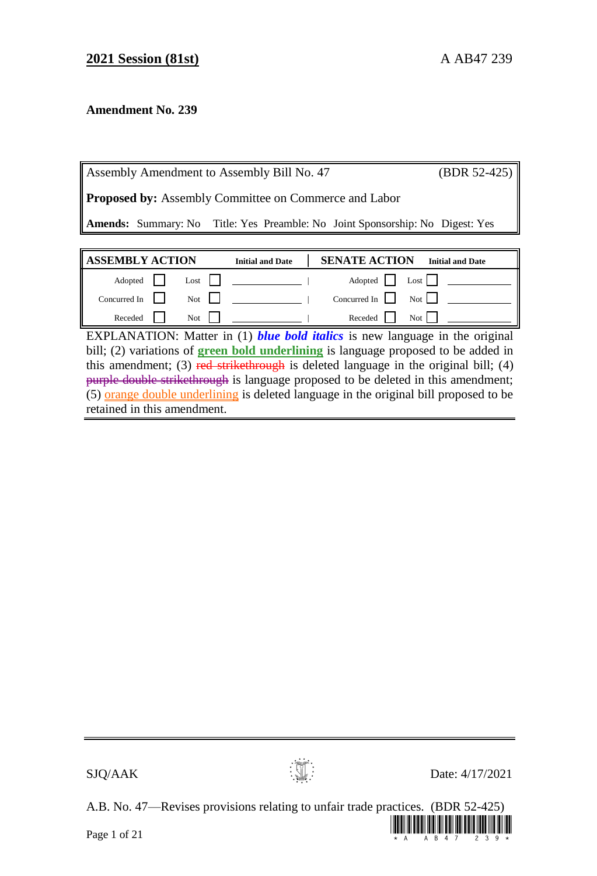## **Amendment No. 239**

|                                                              | Assembly Amendment to Assembly Bill No. 47                                           |                         |                      | $(BDR 52-425)$          |
|--------------------------------------------------------------|--------------------------------------------------------------------------------------|-------------------------|----------------------|-------------------------|
| <b>Proposed by:</b> Assembly Committee on Commerce and Labor |                                                                                      |                         |                      |                         |
|                                                              | <b>Amends:</b> Summary: No Title: Yes Preamble: No Joint Sponsorship: No Digest: Yes |                         |                      |                         |
|                                                              |                                                                                      |                         |                      |                         |
|                                                              |                                                                                      |                         |                      |                         |
| <b>ASSEMBLY ACTION</b>                                       |                                                                                      | <b>Initial and Date</b> | <b>SENATE ACTION</b> | <b>Initial and Date</b> |
| Adopted                                                      | Lost                                                                                 |                         | Adopted              | Lost $\vert$            |
| Concurred In                                                 | Not                                                                                  |                         | Concurred In         | Not I                   |

EXPLANATION: Matter in (1) *blue bold italics* is new language in the original bill; (2) variations of **green bold underlining** is language proposed to be added in this amendment; (3) red strikethrough is deleted language in the original bill; (4) purple double strikethrough is language proposed to be deleted in this amendment; (5) orange double underlining is deleted language in the original bill proposed to be retained in this amendment.



 $\mathbf{S}$ JQ/AAK Date: 4/17/2021

A.B. No. 47—Revises provisions relating to unfair trade practices. (BDR 52-425)

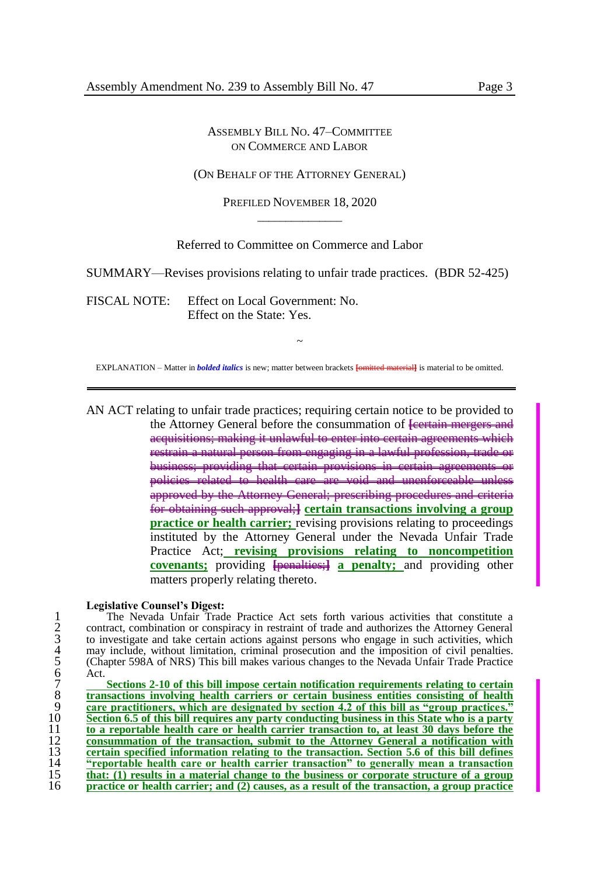(ON BEHALF OF THE ATTORNEY GENERAL)

PREFILED NOVEMBER 18, 2020  $\overline{\phantom{a}}$  , where  $\overline{\phantom{a}}$ 

Referred to Committee on Commerce and Labor

SUMMARY—Revises provisions relating to unfair trade practices. (BDR 52-425)

FISCAL NOTE: Effect on Local Government: No. Effect on the State: Yes.

~ EXPLANATION – Matter in *bolded italics* is new; matter between brackets **[**omitted material**]** is material to be omitted.

AN ACT relating to unfair trade practices; requiring certain notice to be provided to the Attorney General before the consummation of **<del>[certain mergers and</del>** acquisitions; making it unlawful to enter into certain agreements which restrain a natural person from engaging in a lawful profession, trade or business; providing that certain provisions in certain agreements or policies related to health care are void and unenforceable unless approved by the Attorney General; prescribing procedures and criteria for obtaining such approval;**] certain transactions involving a group practice or health carrier;** revising provisions relating to proceedings instituted by the Attorney General under the Nevada Unfair Trade Practice Act; **revising provisions relating to noncompetition covenants;** providing  $\frac{1}{2}$  **[**penalties; **a** penalty; and providing other matters properly relating thereto.

### **Legislative Counsel's Digest:**

The Nevada Unfair Trade Practice Act sets forth various activities that constitute a<br>
contract, combination or conspiracy in restraint of trade and authorizes the Attorney General<br>
to investigate and take certain actions a 2 contract, combination or conspiracy in restraint of trade and authorizes the Attorney General to investigate and take certain actions against persons who engage in such activities, which may include, without limitation, criminal prosecution and the imposition of civil penalties. 5 (Chapter 598A of NRS) This bill makes various changes to the Nevada Unfair Trade Practice Act.

Sections 2-10 of this bill impose certain notification requirements relating to certain **transactions involving health carriers or certain business entities consisting of health care practitioners, which are designated by section 4.2 of this bill as "group practices." Section 6.5 of this bill requires any party conducting business in this State who is a party to a reportable health care or health carrier transaction to, at least 30 days before the consummation of the transaction, submit to the Attorney General a notification with certain specified information relating to the transaction. Section 5.6 of this bill defines "reportable health care or health carrier transaction" to generally mean a transaction that: (1) results in a material change to the business or corporate structure of a group practice or health carrier; and (2) causes, as a result of the transaction, a group practice**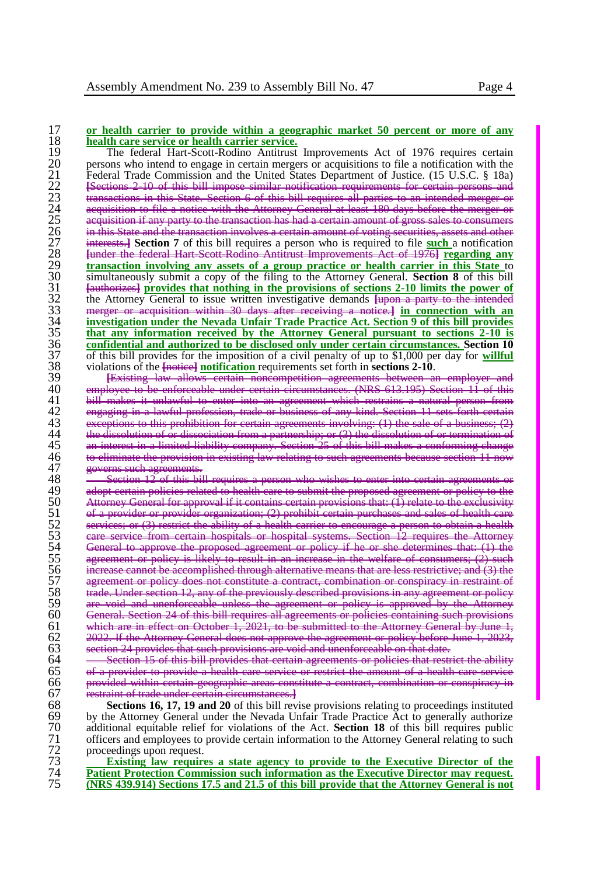# 17 **or health carrier to provide within a geographic market 50 percent or more of any** 18 **health care service or health carrier service.**<br>
19 The federal Hart-Scott-Rodino Antitrust

The federal Hart-Scott-Rodino Antitrust Improvements Act of 1976 requires certain<br>
20 Persons who intend to engage in certain mergers or acquisitions to file a notification with the<br>
Federal Trade Commission and the United 20 persons who intend to engage in certain mergers or acquisitions to file a notification with the Federal Trade Commission and the United States Department of Justice. (15 U.S.C. § 18a)<br>
Esections 2-10 of this bill impose similar potification requirements for certain persons and **[Sections 2-10 of this bill impose similar notification requirements for certain persons** of this bill requires 24 acquisition to file a notice with the Attorney General at least 180 days before the merger or acquisition if any party to the transaction has had a certain amour involves a certain amount of votin 27 interests.**] Section 7** of this bill requires a person who is required to file **such** a notification 28 **[**under the federal Hart-Scott-Rodino Antitrust Improvements Act of 1976**] regarding any**  29 **transaction involving any assets of a group practice or health carrier in this State to**<br>30 simultaneously submit a copy of the filing to the Attorney General. **Section 8** of this bill 30 simultaneously submit a copy of the filing to the Attorney General. **Section 8** of this bill  $\frac{1}{3}$   $\frac{1}{3}$   $\frac{1}{3}$   $\frac{1}{3}$   $\frac{1}{3}$   $\frac{1}{3}$   $\frac{1}{3}$   $\frac{1}{3}$   $\frac{1}{3}$   $\frac{1}{3}$   $\frac{1}{3}$   $\frac{1}{3}$   $\frac{1}{$ 31 *Eauthorizes* **<b>c hauthorizes hat nothing in the provisions of sections 2-10 limits the power of the Attorney General to issue written investigative demands <del>[upon a party to the intended</del> 33 <b>a** merger or acquisiti the Attorney General to issue written investigative demands **[upon a party** mercer or acquisition within 30 days after receiving a notice.] in contract the intended in the intended in the intended in the intended in the in 33 merger or acquisition within 30 days after receiving a notice.**] in connection with an**  34 **investigation under the Nevada Unfair Trade Practice Act. Section 9 of this bill provides**  35 **that any information received by the Attorney General pursuant to sections 2-10 is**  36 **confidential and authorized to be disclosed only under certain circumstances. Section 10** 37 of this bill provides for the imposition of a civil penalty of up to \$1,000 per day for **willful**<br>38 violations of the **[notice] <u>notification</u>** requirements set forth in **sections 2-10**.<br>39 <del>Existing Jaw allows certa</del> violations of the **[**notice] **notification** requirements set forth in **sections 2-10**.

39 **[**Existing law allows certain noncompetition agreements between an employer and 40 employee to be enforceable under certain circumstances. (NRS 613.195) Section 11 of this 41 bill makes it unlawful to enter into an agreement which restrains a natural person from 42 engaging in a lawful profession, trade or business of any kind. Section 11 sets forth certain 43 exceptions to this prohibition for certain agreements involving: (1) the sale of a business; (2) 44 the dissolution of or dissociation from a partnership; or (3) the dissolution of or termination of 45 an interest in a limited-liability company. Section 25 of this bill makes a conforming change 46 to eliminate the provision in existing law relating to such agreements because section 11 now 47 governs such agreements.

 $48 \sim$  Section 12 of this bill requires a person who wishes to enter into certain agreements or 49 a<del>dopt certain policies related to health care to submit the proposed agreement or policy to the</del> 50 Attorney General for approval if it contains certain provisions that: (1) relate to the exclusivity 51 of a provider or provider organization; (2) prohibit certain purchases and sales of health care 52 services; or (3) restrict the ability of a health carrier to encourage a person to obtain a health 53 care service from certain hospitals or hospital systems. Section 12 requires the Attorney 54 General to approve the proposed agreement or policy if he or she determines that: (1) the 55 agreement or policy is likely to result in an increase in the welfare of consumers; (2) such 56 increase cannot be accomplished through alternative means that are less restrictive; and (3) the 57 agreement or policy does not constitute a contract, combination or conspiracy in restraint of 58 trade. Under section 12, any of the previously described provisions in any agreement or policy 59 are void and unenforceable unless the agreement or policy is approved by the Attorney 60 General. Section 24 of this bill requires all agreements or policies containing such provisions 61 which are in effect on October 1, 2021, to be submitted to the Attorney General by June 1, 62 2022. If the Attorney General does not approve the agreement or policy before June 1, 2023, 63 section 24 provides that such provisions are void and unenforceable on that date.

64 
Section 15 of this bill provides that certain agreements or policies that restrict the ability of a provider to provide a health care service or restrict the amount of a health care service provided within certain geographic areas constitute a contract, combination or conspiracy in restraint of trade under certain circumstances.**]**

68 **Sections 16, 17, 19 and 20** of this bill revise provisions relating to proceedings instituted 69 by the Attorney General under the Nevada Unfair Trade Practice Act to generally authorize<br>  $\overline{70}$  additional equitable relief for violations of the Act. **Section 18** of this bill requires public 70 additional equitable relief for violations of the Act. **Section 18** of this bill requires public 71 officers and employees to provide certain information to the Attorney General relating to such proceedings upon request. 72 proceedings upon request.<br>73 **Existing law require** 

73 **Existing law requires a state agency to provide to the Executive Director of the**  74 **Patient Protection Commission such information as the Executive Director may request.**  75 **(NRS 439.914) Sections 17.5 and 21.5 of this bill provide that the Attorney General is not**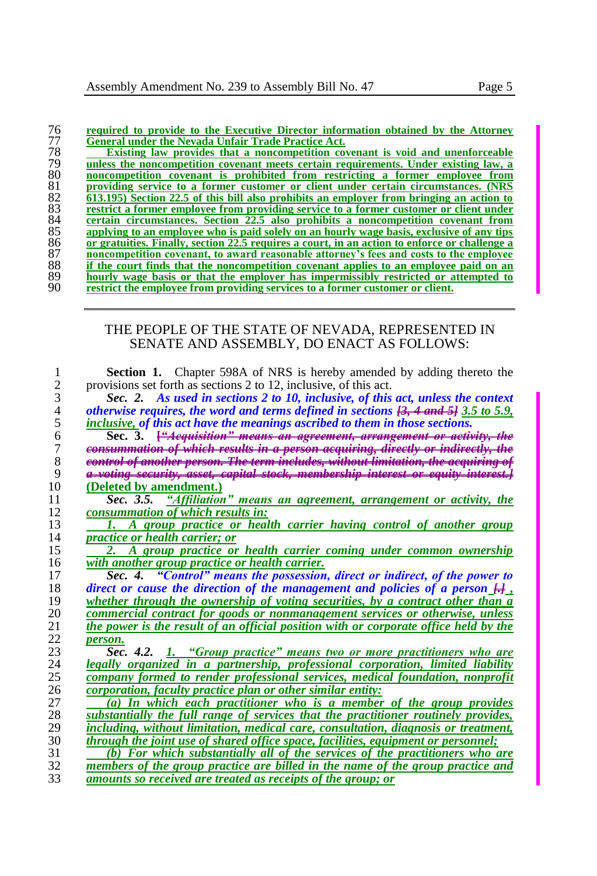| 76 | required to provide to the Executive Director information obtained by the Attorney |  |
|----|------------------------------------------------------------------------------------|--|
| 77 | <b>General under the Nevada Unfair Trade Practice Act.</b>                         |  |

 **Existing law provides that a noncompetition covenant is void and unenforceable <u>General under the Nevada Unfair Trade Practice Act.</u><br>
<u>Bushes the noncompetition covenant is void and unenforceable</u><br>
<b>19** unless the noncompetition covenant is prohibited from restricting a former employee from<br> **1900 noncompetition covenant is prohibited from restricting a former employee from providing service to a former customer or client under certain circumstances.** (NRS  $\overline{82}$  613.195) Section 22.5 of this bill also prohibits an employer from bringing an action to **613.195) Section 22.5 of this bill also prohibits an employer from bringing an action to restrict a former employee from providing service to a former customer or client under error expansion of the service of any tips 85 applying to an employee who is paid solely on an hourly wage basis, exclusive of any certain circumstances. Section 22.5 also prohibits a noncompetition covenant from applying to an employee who is paid solely on an hourly wage basis, exclusive of any tips or gratuities. Finally, section 22.5 requires a court, in an action to enforce or challenge a noncompetition covenant, to award reasonable attorney's fees and costs to the employee if the court finds that the noncompetition covenant applies to an employee paid on an hourly wage basis or that the employer has impermissibly restricted or attempted to** restrict the employee from providing services to a former customer or client. restrict the employee from providing services to a former customer or client.

## THE PEOPLE OF THE STATE OF NEVADA, REPRESENTED IN SENATE AND ASSEMBLY, DO ENACT AS FOLLOWS:

| 1              | <b>Section 1.</b> Chapter 598A of NRS is hereby amended by adding thereto the                                   |
|----------------|-----------------------------------------------------------------------------------------------------------------|
| $\overline{c}$ | provisions set forth as sections 2 to 12, inclusive, of this act.                                               |
| 3              | Sec. 2. As used in sections 2 to 10, inclusive, of this act, unless the context                                 |
| $\overline{4}$ | otherwise requires, the word and terms defined in sections $\overline{13}$ , 4 and $\overline{5}$ 3.5 to 5.9,   |
| 5              | inclusive, of this act have the meanings ascribed to them in those sections.                                    |
| 6              | ' <del>tion" means an agreement, arrang</del><br>Sec. 3. <del>["4e</del>                                        |
| 7              | of which results in                                                                                             |
| 8              | h results in a person aequiring, directly or indirectl<br>on. The term includes, without limitation, the aequir |
| 9              | <del>ing security, asset, capital stock, membership interes</del>                                               |
| 10             | (Deleted by amendment.)                                                                                         |
| 11             | Sec. 3.5. "Affiliation" means an agreement, arrangement or activity, the                                        |
| 12             | consummation of which results in:                                                                               |
| 13             | A group practice or health carrier having control of another group                                              |
| 14             | <i>practice or health carrier; or</i>                                                                           |
| 15             | 2. A group practice or health carrier coming under common ownership                                             |
| 16             | with another group practice or health carrier.                                                                  |
| 17             | Sec. 4. "Control" means the possession, direct or indirect, of the power to                                     |
| 18             | direct or cause the direction of the management and policies of a person $\frac{1}{n+1}$ .                      |
| 19             | whether through the ownership of voting securities, by a contract other than a                                  |
| 20             | commercial contract for goods or nonmanagement services or otherwise, unless                                    |
| 21             | the power is the result of an official position with or corporate office held by the                            |
| 22             | person.                                                                                                         |
| 23             | Sec. 4.2. 1. "Group practice" means two or more practitioners who are                                           |
| 24             | legally organized in a partnership, professional corporation, limited liability                                 |
| 25             | company formed to render professional services, medical foundation, nonprofit                                   |
| 26             | <i>corporation, faculty practice plan or other similar entity:</i>                                              |
| 27             | (a) In which each practitioner who is a member of the group provides                                            |
| 28             | substantially the full range of services that the practitioner routinely provides,                              |
| 29             | including, without limitation, medical care, consultation, diagnosis or treatment,                              |
| 30             | through the joint use of shared office space, facilities, equipment or personnel;                               |
| 31             | (b) For which substantially all of the services of the practitioners who are                                    |
| 32             | members of the group practice are billed in the name of the group practice and                                  |
| 33             | amounts so received are treated as receipts of the group; or                                                    |
|                |                                                                                                                 |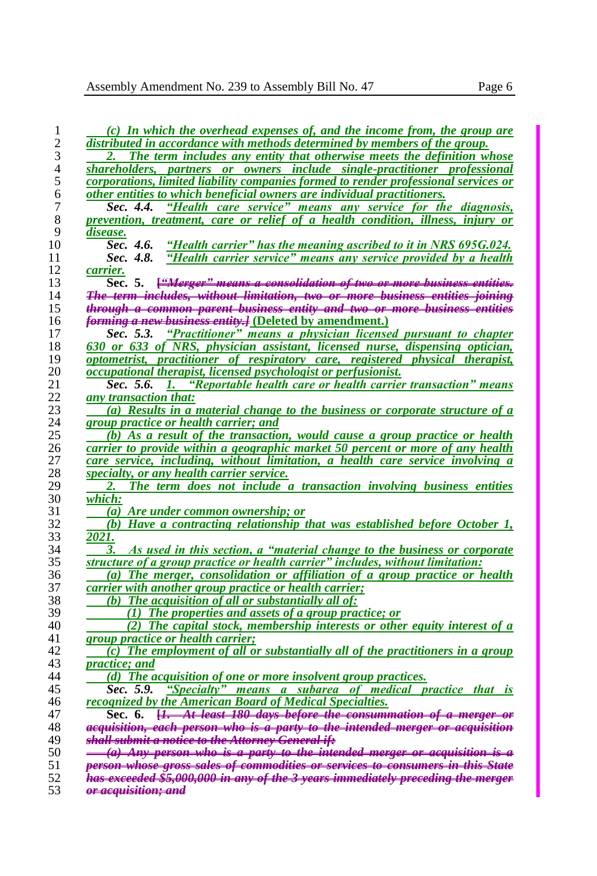| 1  | (c) In which the overhead expenses of, and the income from, the group are                 |
|----|-------------------------------------------------------------------------------------------|
| 2  | distributed in accordance with methods determined by members of the group.                |
| 3  | 2. The term includes any entity that otherwise meets the definition whose                 |
| 4  | shareholders, partners or owners include single-practitioner professional                 |
| 5  | corporations, limited liability companies formed to render professional services or       |
|    |                                                                                           |
| 6  | other entities to which beneficial owners are individual practitioners.                   |
| 7  | "Health care service" means any service for the diagnosis,<br>Sec. 4.4.                   |
| 8  | prevention, treatment, care or relief of a health condition, illness, injury or           |
| 9  | disease.                                                                                  |
| 10 | "Health carrier" has the meaning ascribed to it in NRS 695G.024.<br>Sec. 4.6.             |
| 11 | "Health carrier service" means any service provided by a health<br>Sec. 4.8.              |
| 12 | <u>carrie</u> r.                                                                          |
| 13 | Sec. 5. <del>["Merger" means a consolidation of two or more business entities.</del>      |
| 14 | <del>The term includes, without limitation, two or more business entities joining</del>   |
| 15 | through a common parent business entity and two or more business entities                 |
| 16 | <i>forming a new business entity.]</i> (Deleted by amendment.)                            |
| 17 | "Practitioner" means a physician licensed pursuant to chapter<br>Sec. 5.3.                |
| 18 | 630 or 633 of NRS, physician assistant, licensed nurse, dispensing optician,              |
| 19 | optometrist, practitioner of respiratory care, registered physical therapist,             |
| 20 | occupational therapist, licensed psychologist or perfusionist.                            |
| 21 | Sec. 5.6.<br>"Reportable health care or health carrier transaction" means<br>$\mathbf{L}$ |
| 22 | any transaction that:                                                                     |
| 23 | (a) Results in a material change to the business or corporate structure of a              |
| 24 | group practice or health carrier; and                                                     |
| 25 | (b) As a result of the transaction, would cause a group practice or health                |
| 26 | carrier to provide within a geographic market 50 percent or more of any health            |
| 27 | care service, including, without limitation, a health care service involving a            |
|    |                                                                                           |
| 28 | specialty, or any health carrier service.                                                 |
| 29 | The term does not include a transaction involving business entities<br>2.                 |
| 30 | which:                                                                                    |
| 31 | (a) Are under common ownership; or                                                        |
| 32 | (b) Have a contracting relationship that was established before October 1,                |
| 33 | 2021.                                                                                     |
| 34 | 3.<br>As used in this section, a "material change to the business or corporate            |
| 35 | structure of a group practice or health carrier" includes, without limitation:            |
| 36 | (a) The merger, consolidation or affiliation of a group practice or health                |
| 37 | carrier with another group practice or health carrier;                                    |
| 38 | (b) The acquisition of all or substantially all of:                                       |
| 39 | (1) The properties and assets of a group practice; or                                     |
| 40 | (2) The capital stock, membership interests or other equity interest of a                 |
| 41 | group practice or health carrier;                                                         |
| 42 | $(c)$ The employment of all or substantially all of the practitioners in a group          |
| 43 | <i>practice</i> ; and                                                                     |
| 44 | (d) The acquisition of one or more insolvent group practices.                             |
| 45 | "Specialty" means a subarea of medical practice that is<br>Sec. 5.9.                      |
| 46 | recognized by the American Board of Medical Specialties.                                  |
| 47 | Sec. 6. <del>[1. At least 180 days before the consummation of a merger or</del>           |
| 48 | aequisition, each person who is a party to the intended merger or aequisition             |
| 49 | <del>shall submit a notice to the Attorney General if:</del>                              |
| 50 | (a) Any person who is a party to the intended merger or acquisition is                    |
| 51 | person whose gross sales of commodities or services to consumers in this State            |
| 52 | has exceeded \$5,000,000 in any of the 3 years immediately preceding the merger           |
| 53 | <del>or acquisition: and</del>                                                            |
|    |                                                                                           |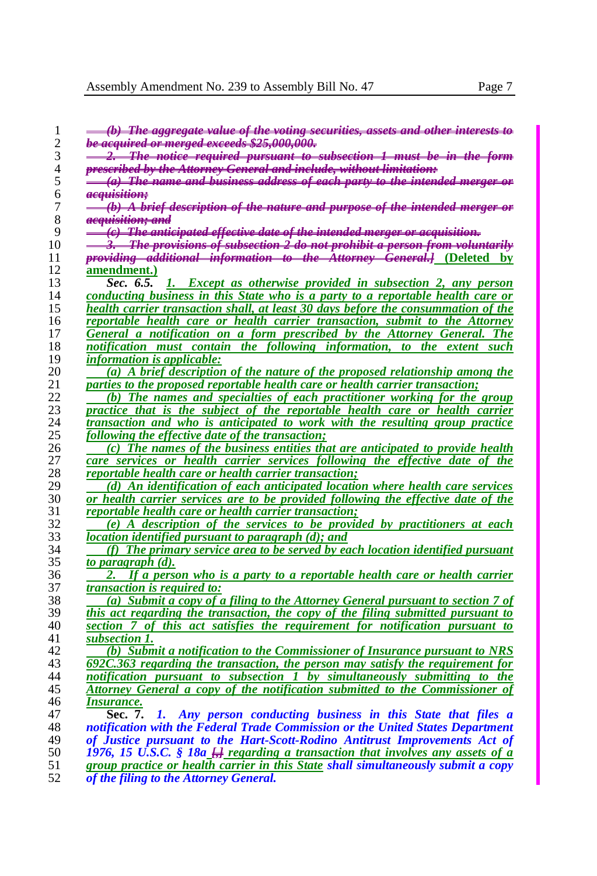| 1              | <del>(b) The aggregate value of the voting securities, assets and other interests to</del> |
|----------------|--------------------------------------------------------------------------------------------|
| $\overline{2}$ | <del>be acquired or merged exceeds \$25,000,000.</del>                                     |
| 3              | <del>2. The notice required pursuant to subsection 1 must be in the form</del>             |
| 4              | <del>prescribed by the Attorney General and include, without limitation:</del>             |
| 5              | <del>(a) The name and business address of each party to the intended merger or</del>       |
| 6              | <del>acquisition;</del>                                                                    |
| 7              | $(b)$ A brief description of the nature and purpose of the intended merger or              |
| 8              | <del>acauisition: and</del>                                                                |
| 9              | <del>(c)The anticipated effective date of the intended merger or acquisition.</del>        |
| 10             | 3. The provisions of subsection 2 do not prohibit a person from voluntarily                |
| 11             | providing additional information to the Attorney General.] (Deleted by                     |
| 12             | amendment.)                                                                                |
| 13             | Sec. 6.5. 1. Except as otherwise provided in subsection 2, any person                      |
| 14             | conducting business in this State who is a party to a reportable health care or            |
| 15             | health carrier transaction shall, at least 30 days before the consummation of the          |
| 16             | reportable health care or health carrier transaction, submit to the Attorney               |
| 17             | General a notification on a form prescribed by the Attorney General. The                   |
| 18             | notification must contain the following information, to the extent such                    |
| 19             | <i>information is applicable:</i>                                                          |
| 20             | (a) A brief description of the nature of the proposed relationship among the               |
| 21             | parties to the proposed reportable health care or health carrier transaction;              |
| 22             | (b) The names and specialties of each practitioner working for the group                   |
| 23             | practice that is the subject of the reportable health care or health carrier               |
| 24             | transaction and who is anticipated to work with the resulting group practice               |
| 25             | following the effective date of the transaction;                                           |
| 26             | (c) The names of the business entities that are anticipated to provide health              |
| 27             | care services or health carrier services following the effective date of the               |
| 28             | reportable health care or health carrier transaction;                                      |
| 29             | (d) An identification of each anticipated location where health care services              |
| 30             | or health carrier services are to be provided following the effective date of the          |
| 31             | reportable health care or health carrier transaction;                                      |
| 32             | (e) A description of the services to be provided by practitioners at each                  |
| 33             | location identified pursuant to paragraph (d); and                                         |
| 34             | (f) The primary service area to be served by each location identified pursuant             |
| 35             | to paragraph (d).                                                                          |
| 36             | If a person who is a party to a reportable health care or health carrier<br>2.             |
| 37             | <i>transaction is required to:</i>                                                         |
| 38             | (a) Submit a copy of a filing to the Attorney General pursuant to section 7 of             |
| 39             | this act regarding the transaction, the copy of the filing submitted pursuant to           |
| 40             | section 7 of this act satisfies the requirement for notification pursuant to               |
| 41             | subsection 1.                                                                              |
| 42             | (b) Submit a notification to the Commissioner of Insurance pursuant to NRS                 |
| 43             | 692C.363 regarding the transaction, the person may satisfy the requirement for             |
| 44             | notification pursuant to subsection 1 by simultaneously submitting to the                  |
| 45             | Attorney General a copy of the notification submitted to the Commissioner of               |
| 46             | Insurance.                                                                                 |
| 47             | Sec. 7.<br>Any person conducting business in this State that files a<br>1.                 |
| 48             | notification with the Federal Trade Commission or the United States Department             |
| 49             | of Justice pursuant to the Hart-Scott-Rodino Antitrust Improvements Act of                 |
| 50             | 1976, 15 U.S.C. § 18a $\frac{1}{n}$ regarding a transaction that involves any assets of a  |
| 51             | group practice or health carrier in this State shall simultaneously submit a copy          |
| 52             | of the filing to the Attorney General.                                                     |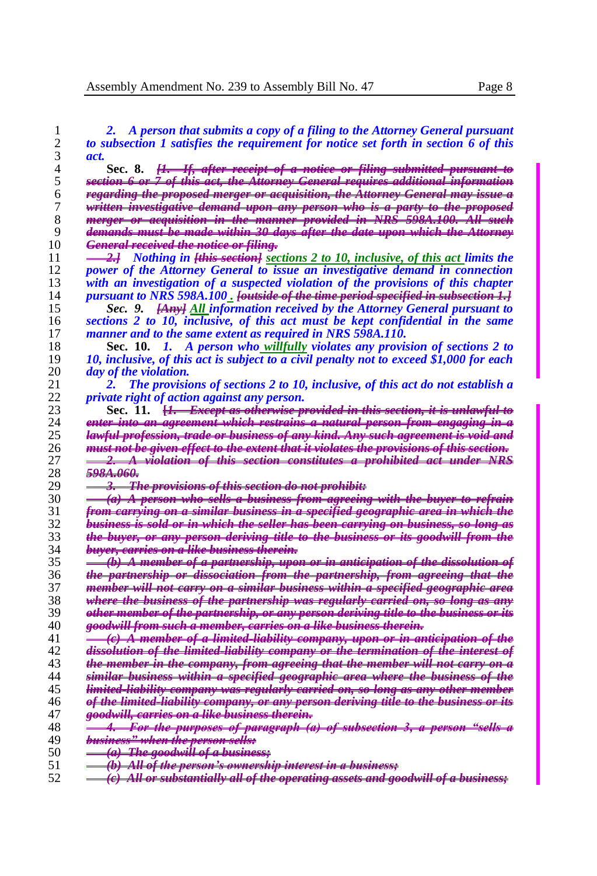| 1        | A person that submits a copy of a filing to the Attorney General pursuant<br>2.                                                                                          |
|----------|--------------------------------------------------------------------------------------------------------------------------------------------------------------------------|
| 2        | to subsection 1 satisfies the requirement for notice set forth in section 6 of this                                                                                      |
| 3        | act.                                                                                                                                                                     |
| 4        | <del>[1. If, after receipt of a notice or filing submitted pursuant to</del><br>Sec. 8.                                                                                  |
| 5        | section 6 or 7 of this act, the Attorney General requires additional information                                                                                         |
| 6        | <del>regarding the proposed merger or acquisition, the Attorney General may issue a</del>                                                                                |
| 7        | written investigative demand upon any person who is a party to the proposed                                                                                              |
| 8        | merger or acquisition in the manner provided in NRS 598A.100. All such                                                                                                   |
| 9        | <del>demands must be made within 30 days after the date upon which the Attorney</del>                                                                                    |
| 10       | <del>General received the notice or filing.</del>                                                                                                                        |
| 11       | <del>2.]</del> Nothing in <del>[this section]</del> sections 2 to 10, inclusive, of this act limits the                                                                  |
| 12       | power of the Attorney General to issue an investigative demand in connection                                                                                             |
| 13       | with an investigation of a suspected violation of the provisions of this chapter                                                                                         |
| 14       | pursuant to NRS 598A.100. <del>[outside of the time period specified in subsection 1.]</del>                                                                             |
| 15       | Sec. 9. <b>[Any]</b> All information received by the Attorney General pursuant to                                                                                        |
| 16       | sections 2 to 10, inclusive, of this act must be kept confidential in the same                                                                                           |
| 17       | manner and to the same extent as required in NRS 598A.110.                                                                                                               |
| 18       | Sec. 10. 1. A person who willfully violates any provision of sections 2 to                                                                                               |
| 19       | 10, inclusive, of this act is subject to a civil penalty not to exceed \$1,000 for each                                                                                  |
| 20       | <i>day of the violation.</i>                                                                                                                                             |
| 21       | The provisions of sections 2 to 10, inclusive, of this act do not establish a<br>2.                                                                                      |
| 22       | <i>private right of action against any person.</i>                                                                                                                       |
| 23       | Sec. 11. [ <del>]. Except as otherwise provided in this section, it is unlawful to</del>                                                                                 |
| 24       | enter into an agreement which restrains a natural person from engaging in a                                                                                              |
| 25       | lawful profession, trade or business of any kind. Any such agreement is void and                                                                                         |
| 26       | must not be given effect to the extent that it violates the provisions of this section.                                                                                  |
| 27       | <b>2.</b> A violation of this section constitutes a prohibited act under NRS                                                                                             |
| 28       | 5984.060.                                                                                                                                                                |
| 29       | 3. The provisions of this section do not prohibit:                                                                                                                       |
| 30       | (a) A person who sells a business from agreeing with the buyer to refrain                                                                                                |
| 31       | <u>from earrying on a similar business in a specified geographic area in which the</u>                                                                                   |
| 32       | business is sold or in which the seller has been carrying on business, so long as                                                                                        |
| 33       | the buyer, or any person deriving title to the business or its goodwill from the                                                                                         |
| 34       | <del>buyer, carries on a like business therein.</del>                                                                                                                    |
| 35       | <u>(b) A member of a partnership, upon or in anticipation of the dissolution of</u>                                                                                      |
| 36       | the partnership or dissociation from the partnership, from agreeing that the                                                                                             |
| 37       | member will not earry on a similar business within a specified geographic area                                                                                           |
| 38       | where the business of the partnership was regularly carried on, so long as any                                                                                           |
| 39       | <u>other member of the partnership, or any person deriving title to the business or its</u>                                                                              |
| 40       | goodwill from such a member, carries on a like business therein.                                                                                                         |
| 41<br>42 | (c) A member of a limited liability company, upon or in anticipation of the                                                                                              |
| 43       | dissolution of the limited liability company or the termination of the interest of                                                                                       |
| 44       | the member in the company, from agreeing that the member will not carry on a                                                                                             |
| 45       | <u>similar business within a specified geographic area where the business of the </u><br>limited liability company was regularly carried on, so long as any other member |
| 46       | <u>of the limited liability company, or any person deriving title to the business or its</u>                                                                             |
| 47       | <del>goodwill, carries on a like business therein.</del>                                                                                                                 |
| 48       | 4. For the purposes of paragraph (a) of subsection 3, a person "sells a                                                                                                  |
| 49       | business" when the person sells:                                                                                                                                         |
| 50       | <del>(a)</del> The goodwill of a business;                                                                                                                               |
| 51       | (b) All of the person's ownership interest in a business;                                                                                                                |
| 52       | (e) All or substantially all of the operating assets and goodwill of a business;                                                                                         |
|          |                                                                                                                                                                          |

- 
- *(c) All or substantially all of the operating assets and goodwill of a business;*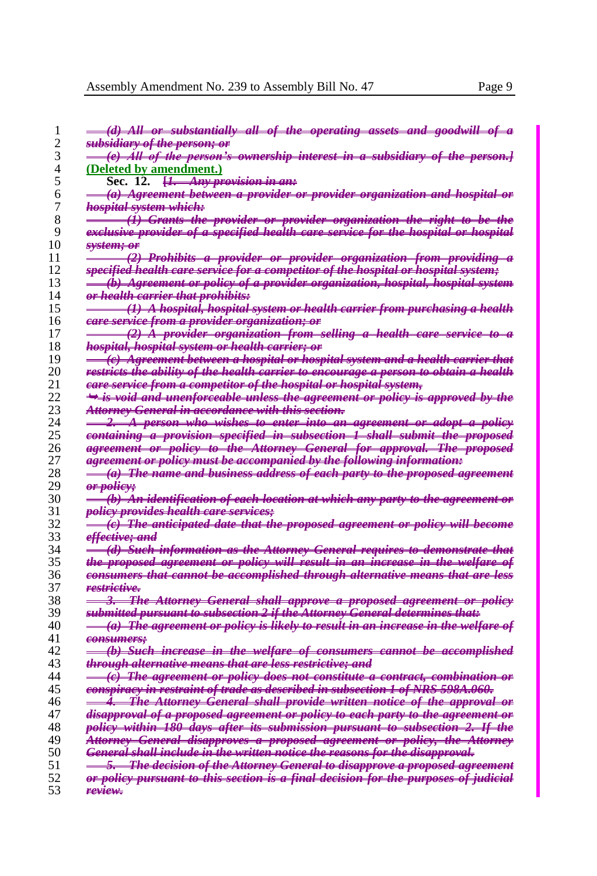|    | (d) All or substantially all of the operating assets and goodwill of a                     |
|----|--------------------------------------------------------------------------------------------|
| 2  | <del>subsidiarv of the person; or</del>                                                    |
|    | (e) All of the person's ownership interest in a subsidiary of the person.]                 |
| 4  | (Deleted by amendment.)                                                                    |
| 5  | Sec. 12. $\frac{1}{2}$ Any provision in ant                                                |
| 6  | (a) Agreement between a provider or provider organization and hospital or                  |
| 7  | <del>hospital system which:</del>                                                          |
| 8  | $(\dot{I})$ Grants the provider or provider organization the right to be the               |
| 9  | exclusive provider of a specified health care service for the hospital or hospital         |
| 10 | <del>svstem; or</del>                                                                      |
| 11 | <del>(2) Prohibits a provider or provider organization from providing a</del>              |
| 12 | specified health care service for a competitor of the hospital or hospital system;         |
| 13 |                                                                                            |
| 14 | $\dot{b}$ ) Agreement or policy of a provider organization, hospital, hospital system      |
|    | <del>or health carrier that prohibits:</del>                                               |
| 15 | (1) A hospital, hospital system or health earrier from purchasing a health                 |
| 16 | <del>eare service from a provider organization; or</del>                                   |
| 17 | <del>(2) Å provider organization from selling a health care service to a</del>             |
| 18 | <del>hospital, hospital system or health carrier; or</del>                                 |
| 19 | <del>(c) Agreement between a hospital or hospital system and a health carrier that</del>   |
| 20 | restricts the ability of the health carrier to encourage a person to obtain a health       |
| 21 | <del>care service from a competitor of the hospital or hospital system,</del>              |
| 22 | $\rightarrow$ is void and unenforceable unless the agreement or policy is approved by the  |
| 23 | <del>Attorney General in accordance with this section.</del>                               |
| 24 | 2. A person who wishes to enter into an agreement or adopt a policy                        |
| 25 | containing a provision specified in subsection I shall submit the proposed                 |
| 26 | agreement or policy to the Attorney General for approval. The proposed                     |
| 27 | <del>agreement or policy must be accompanied by the following information:</del>           |
| 28 | (a) The name and business address of each party to the proposed agreement                  |
| 29 | <del>or policy;</del>                                                                      |
| 30 | (b) An identification of each location at which any party to the agreement or              |
| 31 | <i>policy provides health care services;</i>                                               |
| 32 | (e) The anticipated date that the proposed agreement or policy will become                 |
| 33 | <del>effective; and</del>                                                                  |
| 34 | (d) Such information as the Attorney General requires to demonstrate that                  |
| 35 | the proposed agreement or policy will result in an increase in the welfare of              |
| 36 | consumers that cannot be accomplished through alternative means that are less              |
| 37 | restrictive.                                                                               |
| 38 | 3. The Attorney General shall approve a proposed agreement or policy                       |
| 39 | submitted pursuant to subsection 2 if the Attorney General determines that:                |
| 40 | (a) The agreement or policy is likely to result in an increase in the welfare of           |
| 41 | consumers;                                                                                 |
| 42 | (b) Such increase in the welfare of consumers cannot be accomplished                       |
| 43 | <del>through alternative means that are less restrictive; and</del>                        |
| 44 | (c) The agreement or policy does not constitute a contract, combination or                 |
| 45 | <u>eonspiracy in restraint of trade as described in subsection 1 of NRS 598A.060.</u>      |
| 46 | 4. The Attorney General shall provide written notice of the approval or                    |
| 47 | <del>disapproval of a proposed agreement or policy to each party to the agreement or</del> |
| 48 | <del>policy within 180 days after its submission pursuant to subsection 2. If the</del>    |
| 49 | Attorney General disapproves a proposed agreement or policy, the Attorney                  |
| 50 | <del>General shall include in the written notice the reasons for the disapproval.</del>    |
| 51 | 5. The decision of the Attorney General to disapprove a proposed agreement                 |
| 52 | or policy pursuant to this section is a final decision for the purposes of judicial        |
| 53 | <del>review.</del>                                                                         |
|    |                                                                                            |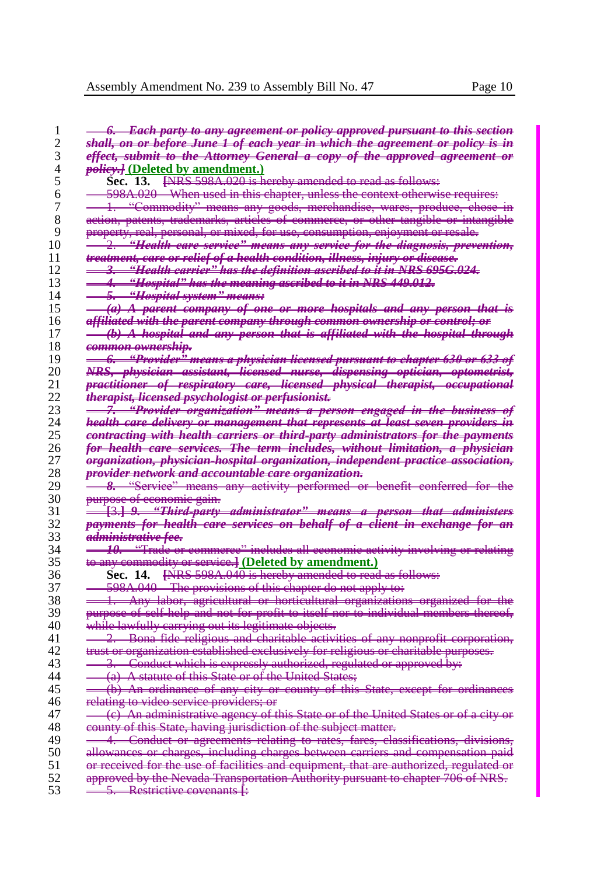|                                  | <del>6.   Each party to any agreement or policy approved pursuant to this section</del>                                     |
|----------------------------------|-----------------------------------------------------------------------------------------------------------------------------|
| 2                                | <del>shall, on or before June 1 of each year in which the agreement or policy is in</del>                                   |
| 3                                | effect, submit to the Attorney General a copy of the approved agreement or                                                  |
| 4                                |                                                                                                                             |
|                                  | <i>polievel</i> (Deleted by amendment.)                                                                                     |
| 5                                | Sec. 13. [NRS 598A.020 is hereby amended to read as follows:                                                                |
| 6                                | <del>598A.020 When used in this chapter, unless the context otherwise requires:</del>                                       |
| 7                                | 1. "Commodity" means any goods, merchandise, wares, produce, chose in                                                       |
| 8                                | <del>action, patents, trademarks, articles of commerce, or other tangible or intangible</del>                               |
| 9                                | <del>property, real, personal, or mixed, for use, consumption, enjoyment or resale.</del>                                   |
| 10                               | "Health care service" means any service for the diagnosis, prevention,                                                      |
| 11                               | treatment, care or relief of a health condition, illness, injury or disease.                                                |
|                                  |                                                                                                                             |
| 12                               | <del>"Health carrier" has the definition ascribed to it in NRS 695G.024.</del><br>车                                         |
| 13                               | "Hospital" has the meaning ascribed to it in NRS 449.012.<br>4.                                                             |
| 14                               | <del>5. "Hospital system" means:</del>                                                                                      |
| 15                               | <del>(a) A parent company of one or more hospitals and any person that is</del>                                             |
| 16                               | <del>affiliated with the parent company through common ownership or control; or</del>                                       |
| 17                               | (b) A hospital and any person that is affiliated with the hospital through                                                  |
| 18                               | <del>common ownership.</del>                                                                                                |
| 19                               | <del>-6. "Provider" means a physician licensed pursuant to chapter 630 or 633 of</del>                                      |
| 20                               | NRS, physician assistant, licensed nurse, dispensing optician, optometrist,                                                 |
| 21                               |                                                                                                                             |
|                                  | practitioner of respiratory care, licensed physical therapist, occupational                                                 |
| 22                               | <del>therapist, licensed psychologist or perfusionist.</del>                                                                |
| 23                               | <u> "Provider organization" means a person engaged in the business of</u><br>7.                                             |
| 24                               | health eare delivery or management that represents at least seven providers in                                              |
| 25                               | contracting with health carriers or third party administrators for the payments                                             |
| 26                               | <u>for health care services. The term includes, without limitation, a physician</u>                                         |
| 27                               | organization, physician hospital organization, independent practice association,                                            |
|                                  |                                                                                                                             |
|                                  |                                                                                                                             |
| 28                               | provider network and accountable care organization.                                                                         |
| 29                               | 8. "Service" means any activity performed or benefit conferred for the                                                      |
| 30                               | <del>purpose of economic gain.</del>                                                                                        |
| 31                               | <u> [3.] 9. "Third party administrator" means a person that administers</u>                                                 |
| 32                               | payments for health eare services on behalf of a client in exchange for an                                                  |
|                                  | <del>administrative fee.</del>                                                                                              |
|                                  | 10. "Trade or commerce" includes all economic activity involving or relating                                                |
|                                  | to any commodity or service.] (Deleted by amendment.)                                                                       |
|                                  | Sec. 14. [NRS 598A.040 is hereby amended to read as follows:                                                                |
|                                  |                                                                                                                             |
| 33<br>34<br>35<br>36<br>37<br>38 | 598A.040 The provisions of this chapter do not apply to:                                                                    |
|                                  | 1. Any labor, agricultural or horticultural organizations organized for the                                                 |
| 39                               | purpose of self help and not for profit to itself nor to individual members thereof,                                        |
| 40                               | while lawfully carrying out its legitimate objects.                                                                         |
| 41                               | 2. Bona fide religious and charitable activities of any nonprofit corporation,                                              |
| 42                               | trust or organization established exclusively for religious or charitable purposes.                                         |
| 43                               | Conduct which is expressly authorized, regulated or approved by:<br>3.                                                      |
| 44                               | (a) A statute of this State or of the United States;                                                                        |
| 45                               |                                                                                                                             |
| 46                               | (b) An ordinance of any city or county of this State, except for ordinances<br>relating to video service providers; or      |
| 47                               |                                                                                                                             |
|                                  | (c) An administrative agency of this State or of the United States or of a city or                                          |
| 48                               | county of this State, having jurisdiction of the subject matter.                                                            |
| 49                               | 4. Conduct or agreements relating to rates, fares, classifications, divisions,                                              |
| 50                               | allowances or charges, including charges between carriers and compensation paid                                             |
| 51                               | or received for the use of facilities and equipment, that are authorized, regulated or                                      |
| 52<br>53                         | approved by the Nevada Transportation Authority pursuant to chapter 706 of NRS.<br>5. Restrictive covenants $\frac{1}{k}$ : |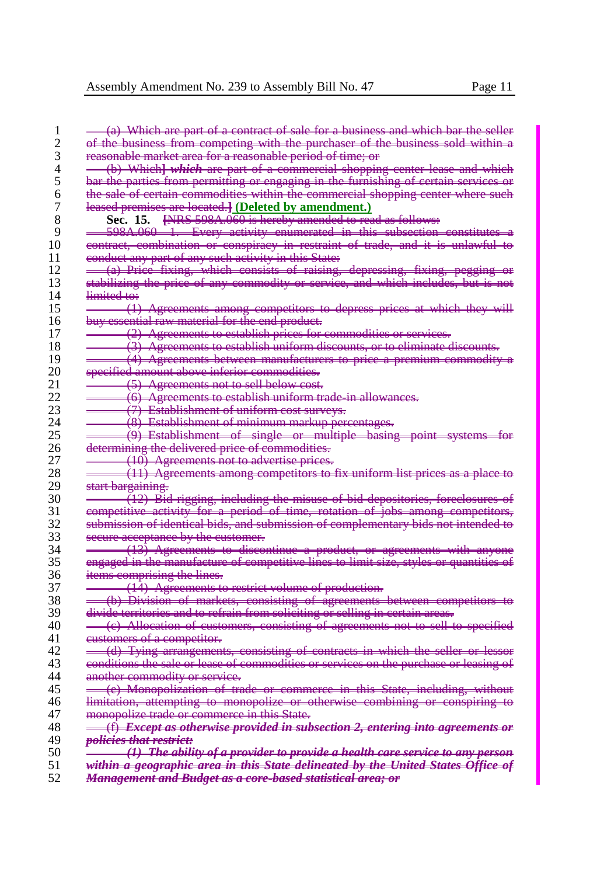|                   | of the business from competing with the purchaser of the business sold within a                                                                                                                                                                                                                                                                                                     |
|-------------------|-------------------------------------------------------------------------------------------------------------------------------------------------------------------------------------------------------------------------------------------------------------------------------------------------------------------------------------------------------------------------------------|
|                   | reasonable market area for a reasonable period of time; or                                                                                                                                                                                                                                                                                                                          |
|                   | (b) Which] <i>which</i> are part of a commercial shopping center lease and which                                                                                                                                                                                                                                                                                                    |
|                   | bar the parties from permitting or engaging in the furnishing of certain services or                                                                                                                                                                                                                                                                                                |
|                   | the sale of certain commodities within the commercial shopping center where such                                                                                                                                                                                                                                                                                                    |
|                   | leased premises are located. [Deleted by amendment.)                                                                                                                                                                                                                                                                                                                                |
|                   | Sec. 15. [NRS 598A.060 is hereby amended to read as follows:                                                                                                                                                                                                                                                                                                                        |
|                   | 598A.060 1. Every activity enumerated in this subsection constitutes a                                                                                                                                                                                                                                                                                                              |
|                   | contract, combination or conspiracy in restraint of trade, and it is unlawful to                                                                                                                                                                                                                                                                                                    |
|                   | eonduct any part of any such activity in this State.                                                                                                                                                                                                                                                                                                                                |
|                   |                                                                                                                                                                                                                                                                                                                                                                                     |
|                   | (a) Price fixing, which consists of raising, depressing, fixing, pegging                                                                                                                                                                                                                                                                                                            |
|                   | stabilizing the price of any commodity or service, and which includes, but is not                                                                                                                                                                                                                                                                                                   |
| limited to:       |                                                                                                                                                                                                                                                                                                                                                                                     |
|                   | (1) Agreements among competitors to depress prices at which they will                                                                                                                                                                                                                                                                                                               |
|                   | buy essential raw material for the end product.                                                                                                                                                                                                                                                                                                                                     |
|                   | (2) Agreements to establish prices for commodities or services.                                                                                                                                                                                                                                                                                                                     |
|                   | (3) Agreements to establish uniform discounts, or to eliminate discounts.                                                                                                                                                                                                                                                                                                           |
|                   | (4) Agreements between manufacturers to price a premium commodity a                                                                                                                                                                                                                                                                                                                 |
|                   | specified amount above inferior commodities.                                                                                                                                                                                                                                                                                                                                        |
|                   | <del>(5)</del> Agreements not to sell below cost.                                                                                                                                                                                                                                                                                                                                   |
|                   | -(6) Agreements to establish uniform trade in allowances.                                                                                                                                                                                                                                                                                                                           |
|                   | (7) Establishment of uniform cost surveys.                                                                                                                                                                                                                                                                                                                                          |
|                   |                                                                                                                                                                                                                                                                                                                                                                                     |
|                   | (8) Establishment of minimum markup percentages.                                                                                                                                                                                                                                                                                                                                    |
|                   | $(9)$ Establishment of single or multiple basing point systems for                                                                                                                                                                                                                                                                                                                  |
|                   | determining the delivered price of commodities.                                                                                                                                                                                                                                                                                                                                     |
|                   | (10) Agreements not to advertise prices.                                                                                                                                                                                                                                                                                                                                            |
|                   | (11) Agreements among competitors to fix uniform list prices as a place to                                                                                                                                                                                                                                                                                                          |
| start bargaining. |                                                                                                                                                                                                                                                                                                                                                                                     |
|                   | (12) Bid rigging, including the misuse of bid depositories, foreclosures of                                                                                                                                                                                                                                                                                                         |
|                   | competitive activity for a period of time, rotation of jobs among competitors,                                                                                                                                                                                                                                                                                                      |
|                   | submission of identical bids, and submission of complementary bids not intended to                                                                                                                                                                                                                                                                                                  |
|                   | secure acceptance by the customer.                                                                                                                                                                                                                                                                                                                                                  |
|                   | (13) Agreements to discontinue a product, or agreements with anyone                                                                                                                                                                                                                                                                                                                 |
|                   | engaged in the manufacture of competitive lines to limit size, styles or quantities of                                                                                                                                                                                                                                                                                              |
|                   | items comprising the lines.                                                                                                                                                                                                                                                                                                                                                         |
|                   |                                                                                                                                                                                                                                                                                                                                                                                     |
|                   | (14) Agreements to restrict volume of production.                                                                                                                                                                                                                                                                                                                                   |
|                   | (b) Division of markets, consisting of agreements between competitors to                                                                                                                                                                                                                                                                                                            |
|                   | divide territories and to refrain from soliciting or selling in certain areas.                                                                                                                                                                                                                                                                                                      |
|                   | (e) Allocation of customers, consisting of agreements not to sell to specified                                                                                                                                                                                                                                                                                                      |
|                   | eustomers of a competitor.                                                                                                                                                                                                                                                                                                                                                          |
|                   | (d) Tying arrangements, consisting of contracts in which the seller or lessor                                                                                                                                                                                                                                                                                                       |
|                   | conditions the sale or lease of commodities or services on the purchase or leasing of                                                                                                                                                                                                                                                                                               |
|                   |                                                                                                                                                                                                                                                                                                                                                                                     |
|                   | another commodity or service.                                                                                                                                                                                                                                                                                                                                                       |
|                   |                                                                                                                                                                                                                                                                                                                                                                                     |
|                   |                                                                                                                                                                                                                                                                                                                                                                                     |
|                   |                                                                                                                                                                                                                                                                                                                                                                                     |
|                   | monopolize trade or commerce in this State.                                                                                                                                                                                                                                                                                                                                         |
|                   |                                                                                                                                                                                                                                                                                                                                                                                     |
|                   | (e) Monopolization of trade or commerce in this State, including, without<br>limitation, attempting to monopolize or otherwise combining or conspiring to<br>$\frac{f(x)}{f(x)}$ Except as otherwise provided in subsection 2, entering into agreements or<br><del>policies that restrict:</del><br>$(1)$ The ability of a provider to provide a health care service to any person- |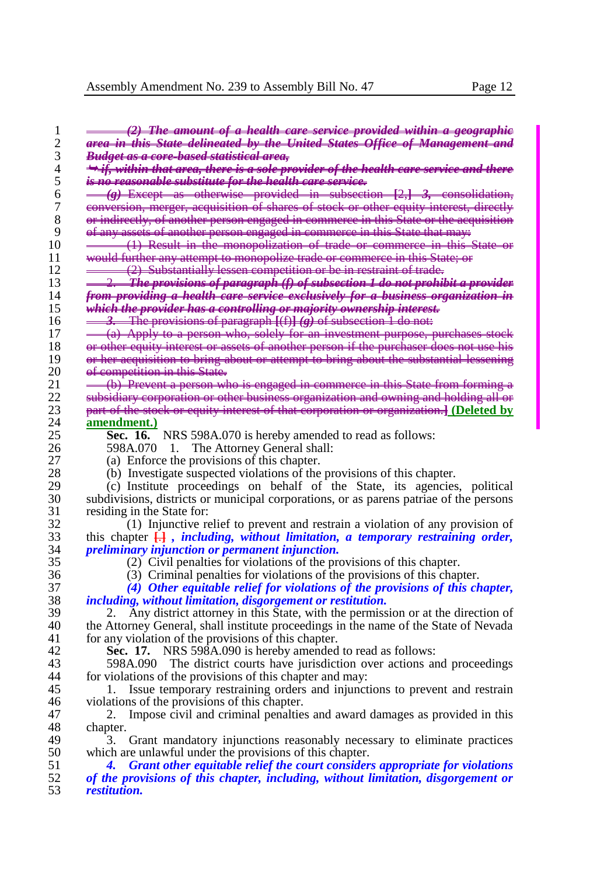| 1                        | (2) The amount of a health care service provided within a geographic                                                 |
|--------------------------|----------------------------------------------------------------------------------------------------------------------|
| $\overline{c}$           | area in this State delineated by the United States Office of Management and                                          |
| 3                        | <del>Budget as a core-based statistical area,</del>                                                                  |
| $\overline{\mathcal{L}}$ | → if, within that area, there is a sole provider of the health care service and there                                |
| 5                        | is no reasonable substitute for the health care service.                                                             |
| 6                        | $(g)$ Except as otherwise provided in subsection $[2,]$ 3, consolidation,                                            |
| $\boldsymbol{7}$         | conversion, merger, acquisition of shares of stock or other equity interest, directly                                |
| 8                        | or indirectly, of another person engaged in commerce in this State or the acquisition                                |
| 9                        | <del>of any assets of another person engaged in commerce in this State that may:</del>                               |
| 10                       | (1) Result in the monopolization of trade or commerce in this State or                                               |
| 11                       | <del>would further any attempt to monopolize trade or commerce in this State; or</del>                               |
| 12                       | (2) Substantially lessen competition or be in restraint of trade.                                                    |
| 13                       | <b>The provisions of paragraph</b> (f) of subsection 1 do not prohibit a provider<br>≏                               |
| 14                       | <del>from providing a health care service exclusively for a business organization in</del>                           |
| 15                       | which the provider has a controlling or majority ownership interest.                                                 |
| 16                       | 3. The provisions of paragraph $[(f)](g)$ of subsection 1 do not:                                                    |
| 17                       | (a) Apply to a person who, solely for an investment purpose, purchases stock                                         |
| 18                       | or other equity interest or assets of another person if the purchaser does not use his                               |
| 19                       | or her acquisition to bring about or attempt to bring about the substantial lessening                                |
| 20                       |                                                                                                                      |
| 21                       | <del>of competition in this State.</del>                                                                             |
|                          | (b) Prevent a person who is engaged in commerce in this State from forming a                                         |
| 22                       | subsidiary corporation or other business organization and owning and holding all or                                  |
| 23                       | part of the stock or equity interest of that corporation or organization.] (Deleted by                               |
| 24                       | amendment.)                                                                                                          |
| 25                       | <b>Sec. 16.</b> NRS 598A.070 is hereby amended to read as follows:                                                   |
| 26                       | 598A.070 1. The Attorney General shall:                                                                              |
| 27                       | (a) Enforce the provisions of this chapter.                                                                          |
| 28                       | (b) Investigate suspected violations of the provisions of this chapter.                                              |
| 29                       | (c) Institute proceedings on behalf of the State, its agencies, political                                            |
| 30                       | subdivisions, districts or municipal corporations, or as parent patriae of the persons                               |
| 31                       | residing in the State for:                                                                                           |
| 32                       | (1) Injunctive relief to prevent and restrain a violation of any provision of                                        |
| 33                       | this chapter $\frac{1}{k+1}$ , <i>including</i> , <i>without limitation</i> , <i>a temporary restraining order</i> , |
| 34                       | <i>preliminary injunction or permanent injunction.</i>                                                               |
| 35                       | (2) Civil penalties for violations of the provisions of this chapter.                                                |
| 36                       | (3) Criminal penalties for violations of the provisions of this chapter.                                             |
| 37                       | (4) Other equitable relief for violations of the provisions of this chapter,                                         |
| 38                       | <i>including, without limitation, disgorgement or restitution.</i>                                                   |
| 39                       | Any district attorney in this State, with the permission or at the direction of<br>2.                                |
| 40                       | the Attorney General, shall institute proceedings in the name of the State of Nevada                                 |
| 41                       | for any violation of the provisions of this chapter.                                                                 |
| 42                       |                                                                                                                      |
|                          | <b>Sec. 17.</b> NRS 598A.090 is hereby amended to read as follows:                                                   |
| 43                       | 598A.090 The district courts have jurisdiction over actions and proceedings                                          |
| 44                       | for violations of the provisions of this chapter and may:                                                            |
| 45                       | Issue temporary restraining orders and injunctions to prevent and restrain<br>ı.                                     |
| 46                       | violations of the provisions of this chapter.                                                                        |
| 47                       | Impose civil and criminal penalties and award damages as provided in this<br>2.                                      |
| 48                       | chapter.                                                                                                             |
| 49                       | Grant mandatory injunctions reasonably necessary to eliminate practices<br>3.                                        |
| 50                       | which are unlawful under the provisions of this chapter.                                                             |
| 51                       | Grant other equitable relief the court considers appropriate for violations                                          |
| 52                       | of the provisions of this chapter, including, without limitation, disgorgement or                                    |

*restitution.*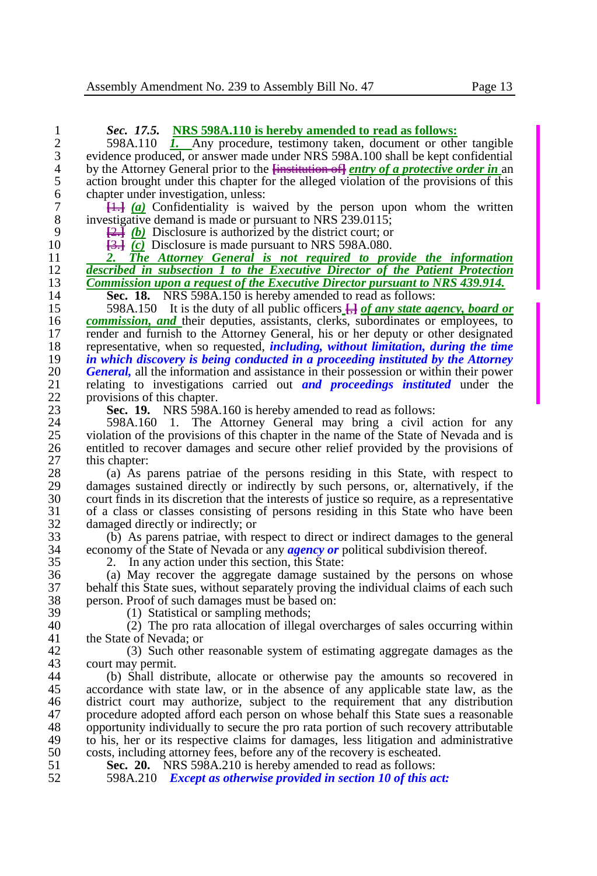1 **Sec. 17.5. NRS 598A.110 is hereby amended to read as follows:**<br>2 598A.110 *I***.** Any procedure, testimony taken, document or other 598A.110 *I.* Any procedure, testimony taken, document or other tangible evidence produced, or answer made under NRS 598A.100 shall be kept confidential 3 evidence produced, or answer made under NRS 598A.100 shall be kept confidential<br>4 by the Attorney General prior to the  $\frac{1}{2}$  state of a protective order in an 4 by the Attorney General prior to the **<del>[institution of]</del>** *entry of a protective order in* an action brought under this chapter for the alleged violation of the provisions of this 5 action brought under this chapter for the alleged violation of the provisions of this chapter under investigation, unless: 6 chapter under investigation, unless:<br>  $\frac{1}{2}$  (a) Confidentiality is way  $\frac{11}{10}$   $\frac{1}{2}$   $\frac{1}{2}$  Confidentiality is waived by the person upon whom the written investigative demand is made or pursuant to NRS 239.0115: 8 investigative demand is made or pursuant to NRS 239.0115;<br>9  $\left( \frac{D-1}{D} \right)$  Disclosure is authorized by the district court: or 9  $\frac{[2.3]}{[2.3]}$  *(b)* Disclosure is authorized by the district court; or 10  $\frac{[2.3]}{[2.3]}$  *(c)* Disclosure is made pursuant to NRS 598A.080. 10 **[**3.**]** *(c)* Disclosure is made pursuant to NRS 598A.080. 11 *2. The Attorney General is not required to provide the information*  12 *described in subsection 1 to the Executive Director of the Patient Protection*  13 *Commission upon a request of the Executive Director pursuant to NRS 439.914.*<br>14 **Sec. 18.** NRS 598A 150 is hereby amended to read as follows: **14 Sec. 18.** NRS 598A.150 is hereby amended to read as follows:<br>15 598A.150 It is the duty of all public officers  $\frac{1}{2}$  of any state age 15 598A.150 It is the duty of all public officers  $\frac{1}{\sqrt{2}}$  of any state agency, board or 16 commission, and their deputies, assistants, clerks, subordinates or employees, to 16 *commission, and* their deputies, assistants, clerks, subordinates or employees, to render and furnish to the Attorney General, his or her deputy or other designated 17 render and furnish to the Attorney General, his or her deputy or other designated<br>18 representative, when so requested, *including, without limitation, during the time* 18 representative, when so requested, *including, without limitation, during the time*  19 *in which discovery is being conducted in a proceeding instituted by the Attorney*  20 *General*, all the information and assistance in their possession or within their power relating to investigations carried out and proceedings instituted under the 21 relating to investigations carried out *and proceedings instituted* under the 22 provisions of this chapter.<br>23 **Sec. 19.** NRS 598A 23 **Sec. 19.** NRS 598A.160 is hereby amended to read as follows:<br>24 598A.160 1. The Attorney General may bring a civil a 24 598A.160 1. The Attorney General may bring a civil action for any<br>25 violation of the provisions of this chapter in the name of the State of Nevada and is 25 violation of the provisions of this chapter in the name of the State of Nevada and is<br>26 entitled to recover damages and secure other relief provided by the provisions of 26 entitled to recover damages and secure other relief provided by the provisions of  $\begin{array}{cc} 27 & \text{this chapter:} \\ 28 & \text{(a) As } 1 \end{array}$ 28 (a) As parens patriae of the persons residing in this State, with respect to damages sustained directly or indirectly by such persons, or, alternatively, if the 29 damages sustained directly or indirectly by such persons, or, alternatively, if the court finds in its discretion that the interests of institution as a representative 30 court finds in its discretion that the interests of justice so require, as a representative of a class or classes consisting of persons residing in this State who have been 31 of a class or classes consisting of persons residing in this State who have been 32 damaged directly or indirectly; or<br>33 (b) As parens patriae, with re  $33$  (b) As parens patriae, with respect to direct or indirect damages to the general economy of the State of Nevada or any **agency or** political subdivision thereof 34 economy of the State of Nevada or any *agency or* political subdivision thereof.<br>35 2. In any action under this section, this State: 2. In any action under this section, this State: 36 (a) May recover the aggregate damage sustained by the persons on whose<br>37 behalf this State sues, without separately proving the individual claims of each such 37 behalf this State sues, without separately proving the individual claims of each such person. Proof of such damages must be based on: 38 person. Proof of such damages must be based on:<br>39 (1) Statistical or sampling methods: 39 (1) Statistical or sampling methods;<br>40 (2) The pro-rata allocation of illegal 40 (2) The pro rata allocation of illegal overcharges of sales occurring within the State of Nevada; or 42 (3) Such other reasonable system of estimating aggregate damages as the court may permit. 43 court may permit.<br>44 (b) Shall dist 44 (b) Shall distribute, allocate or otherwise pay the amounts so recovered in 45 accordance with state law, or in the absence of any applicable state law, as the district court may authorize, subject to the requirement that any distribution 46 district court may authorize, subject to the requirement that any distribution<br>47 procedure adopted afford each person on whose behalf this State sues a reasonable 47 procedure adopted afford each person on whose behalf this State sues a reasonable<br>48 opportunity individually to secure the pro rata portion of such recovery attributable 48 opportunity individually to secure the pro rata portion of such recovery attributable<br>49 to his, her or its respective claims for damages, less litigation and administrative 49 to his, her or its respective claims for damages, less litigation and administrative costs, including attorney fees, before any of the recovery is escheated. 50 costs, including attorney fees, before any of the recovery is escheated.<br>51 **Sec. 20.** NRS 598A 210 is hereby amended to read as follows: 51 **Sec. 20.** NRS 598A.210 is hereby amended to read as follows:<br>52 598A.210 *Except as otherwise provided in section 10 of this a* 52 598A.210 *Except as otherwise provided in section 10 of this act:*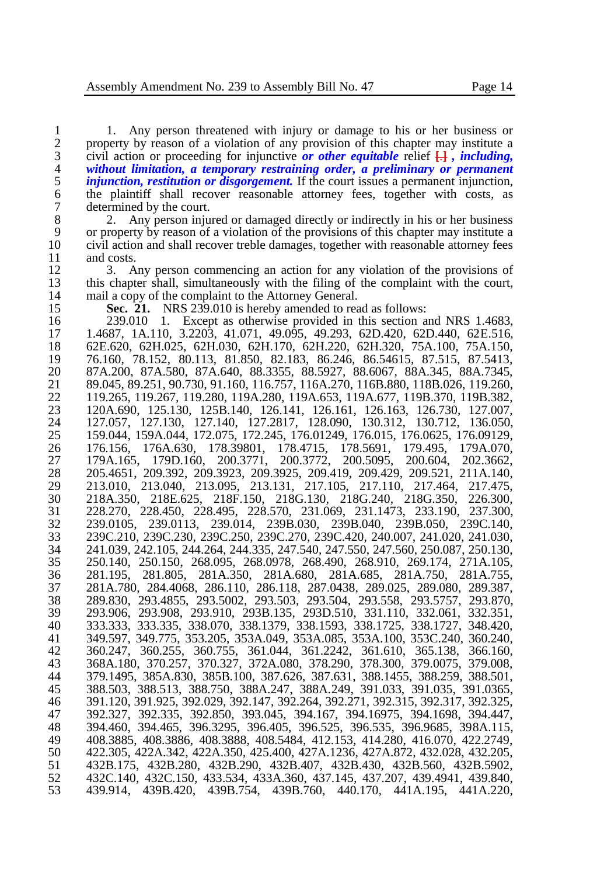1. Any person threatened with injury or damage to his or her business or 2 property by reason of a violation of any provision of this chapter may institute a 2 property by reason of a violation of any provision of this chapter may institute a civil action or proceeding for injunctive *or other equitable* relief  $\Box$ , *including*, civil action or proceeding for injunctive *or other equitable* relief **[**.**]** *, including, without limitation, a temporary restraining order, a preliminary or permanent*  5 *injunction, restitution or disgorgement*. If the court issues a permanent injunction, the plaintiff shall recover reasonable attorney fees, together with costs, as 6 the plaintiff shall recover reasonable attorney fees, together with costs, as determined by the court. 7 determined by the court.<br>8 2. Any person inju

8 2. Any person injured or damaged directly or indirectly in his or her business<br>9 or property by reason of a violation of the provisions of this chapter may institute a 9 or property by reason of a violation of the provisions of this chapter may institute a civil action and shall recover treble damages, together with reasonable attorney fees civil action and shall recover treble damages, together with reasonable attorney fees and costs.<br>12 3. A

12 3. Any person commencing an action for any violation of the provisions of this chapter shall, simultaneously with the filing of the complaint with the court. 13 this chapter shall, simultaneously with the filing of the complaint with the court, 14 mail a copy of the complaint to the Attorney General. 14 mail a copy of the complaint to the Attorney General.<br>15 **Sec. 21.** NRS 239.010 is hereby amended to real

**Sec. 21.** NRS 239.010 is hereby amended to read as follows:

 239.010 1. Except as otherwise provided in this section and NRS 1.4683, 1.4687, 1A.110, 3.2203, 41.071, 49.095, 49.293, 62D.420, 62D.440, 62E.516, 62E.620, 62H.025, 62H.030, 62H.170, 62H.220, 62H.320, 75A.100, 75A.150, 76.160, 78.152, 80.113, 81.850, 82.183, 86.246, 86.54615, 87.515, 87.5413, 87A.200, 87A.580, 87A.640, 88.3355, 88.5927, 88.6067, 88A.345, 88A.7345, 21 89.045, 89.251, 90.730, 91.160, 116.757, 116A.270, 116B.880, 118B.026, 119.260, 22<br>22 119.265, 119.267, 119.280, 119A.280, 119A.653, 119A.677, 119B.370, 119B.382. 119.265, 119.267, 119.280, 119A.280, 119A.653, 119A.677, 119B.370, 119B.382, 120A.690, 125.130, 125B.140, 126.141, 126.161, 126.163, 126.730, 127.007, 127.057, 127.130, 127.140, 127.2817, 128.090, 130.312, 130.712, 136.050, 159.044, 159A.044, 172.075, 172.245, 176.01249, 176.015, 176.0625, 176.09129, 176.156, 176A.630, 178.39801, 178.4715, 178.5691, 179.495, 179A.070, 179A.165, 179D.160, 200.3771, 200.3772, 200.5095, 200.604, 202.3662, 205.4651, 209.392, 209.3923, 209.3925, 209.419, 209.429, 209.521, 211A.140, 213.010, 213.040, 213.095, 213.131, 217.105, 217.110, 217.464, 217.475, 218A.350, 218E.625, 218F.150, 218G.130, 218G.240, 218G.350, 226.300, 228.270, 228.450, 228.495, 228.570, 231.069, 231.1473, 233.190, 237.300, 239.0105, 239.0113, 239.014, 239B.030, 239B.040, 239B.050, 239C.140, 239C.210, 239C.230, 239C.250, 239C.270, 239C.420, 240.007, 241.020, 241.030, 241.039, 242.105, 244.264, 244.335, 247.540, 247.550, 247.560, 250.087, 250.130, 250.140, 250.150, 268.095, 268.0978, 268.490, 268.910, 269.174, 271A.105, 281.195, 281.805, 281A.350, 281A.680, 281A.685, 281A.750, 281A.755, 281A.780, 284.4068, 286.110, 286.118, 287.0438, 289.025, 289.080, 289.387, 289.830, 293.4855, 293.5002, 293.503, 293.504, 293.558, 293.5757, 293.870, 293.906, 293.908, 293.910, 293B.135, 293D.510, 331.110, 332.061, 332.351, 333.333, 333.335, 338.070, 338.1379, 338.1593, 338.1725, 338.1727, 348.420, 349.597, 349.775, 353.205, 353A.049, 353A.085, 353A.100, 353C.240, 360.240, 360.247, 360.255, 360.755, 361.044, 361.2242, 361.610, 365.138, 366.160, 368A.180, 370.257, 370.327, 372A.080, 378.290, 378.300, 379.0075, 379.008, 379.1495, 385A.830, 385B.100, 387.626, 387.631, 388.1455, 388.259, 388.501, 388.503, 388.513, 388.750, 388A.247, 388A.249, 391.033, 391.035, 391.0365, 391.120, 391.925, 392.029, 392.147, 392.264, 392.271, 392.315, 392.317, 392.325, 392.327, 392.335, 392.850, 393.045, 394.167, 394.16975, 394.1698, 394.447, 394.460, 394.465, 396.3295, 396.405, 396.525, 396.535, 396.9685, 398A.115, 408.3885, 408.3886, 408.3888, 408.5484, 412.153, 414.280, 416.070, 422.2749, 422.305, 422A.342, 422A.350, 425.400, 427A.1236, 427A.872, 432.028, 432.205, 432B.175, 432B.280, 432B.290, 432B.407, 432B.430, 432B.560, 432B.5902, 432C.140, 432C.150, 433.534, 433A.360, 437.145, 437.207, 439.4941, 439.840, 439.914, 439B.420, 439B.754, 439B.760, 440.170, 441A.195, 441A.220,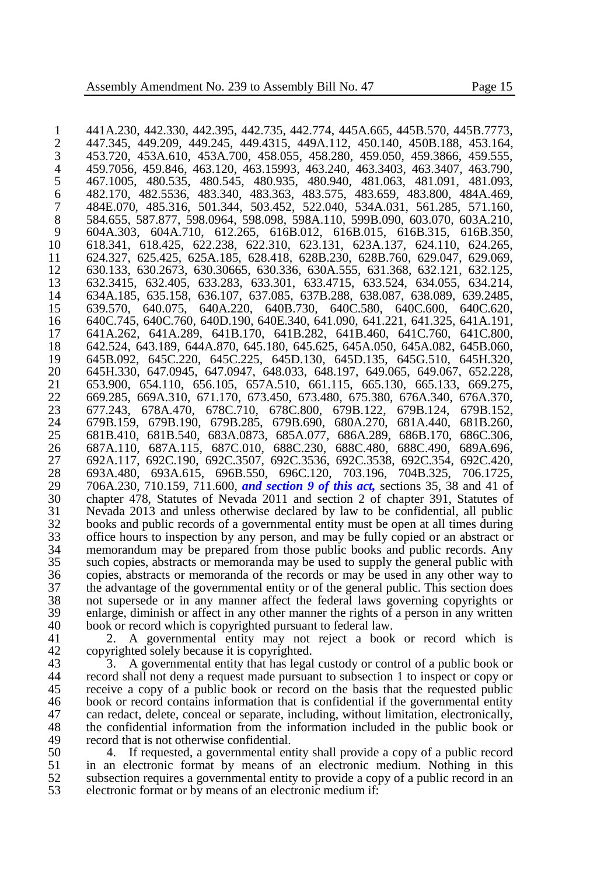441A.230, 442.330, 442.395, 442.735, 442.774, 445A.665, 445B.570, 445B.7773, 2 447.345, 449.209, 449.245, 449.4315, 449A.112, 450.140, 450B.188, 453.164, 453.720, 453A.610, 453A.700, 458.055, 459.280, 459.3866, 459.555, 453.720, 453A.610, 453A.700, 458.055, 458.280, 459.050, 459.3866, 459.555, 459.7056, 459.846, 463.120, 463.15993, 463.240, 463.3403, 463.3407, 463.790, 467.1005, 480.535, 480.545, 480.935, 480.940, 481.063, 481.091, 481.093, 482.170, 482.5536, 483.340, 483.363, 483.575, 483.659, 483.800, 484A.469, 484E.070, 485.316, 501.344, 503.452, 522.040, 534A.031, 561.285, 571.160, 584.655, 587.877, 598.0964, 598.098, 598A.110, 599B.090, 603.070, 603A.210, 604A.303, 604A.710, 612.265, 616B.012, 616B.015, 616B.315, 616B.350, 618.341, 618.425, 622.238, 622.310, 623.131, 623A.137, 624.110, 624.265, 624.327, 625.425, 625A.185, 628.418, 628B.230, 628B.760, 629.047, 629.069, 630.133, 630.2673, 630.30665, 630.336, 630A.555, 631.368, 632.121, 632.125, 632.3415, 632.405, 633.283, 633.301, 633.4715, 633.524, 634.055, 634.214, 634A.185, 635.158, 636.107, 637.085, 637B.288, 638.087, 638.089, 639.2485, 639.570, 640.075, 640A.220, 640B.730, 640C.580, 640C.600, 640C.620, 640C.745, 640C.760, 640D.190, 640E.340, 641.090, 641.221, 641.325, 641A.191, 641A.262, 641A.289, 641B.170, 641B.282, 641B.460, 641C.760, 641C.800, 642.524, 643.189, 644A.870, 645.180, 645.625, 645A.050, 645A.082, 645B.060, 645B.092, 645C.220, 645C.225, 645D.130, 645D.135, 645G.510, 645H.320, 645H.330, 647.0945, 647.0947, 648.033, 648.197, 649.065, 649.067, 652.228, 653.900, 654.110, 656.105, 657A.510, 661.115, 665.130, 665.133, 669.275, 669.285, 669A.310, 671.170, 673.450, 673.480, 675.380, 676A.340, 676A.370, 677.243, 678A.470, 678C.710, 678C.800, 679B.122, 679B.124, 679B.152, 679B.159, 679B.190, 679B.285, 679B.690, 680A.270, 681A.440, 681B.260, 681B.410, 681B.540, 683A.0873, 685A.077, 686A.289, 686B.170, 686C.306, 687A.110, 687A.115, 687C.010, 688C.230, 688C.480, 688C.490, 689A.696, 692A.117, 692C.190, 692C.3507, 692C.3536, 692C.3538, 692C.354, 692C.420, 693A.480, 693A.615, 696B.550, 696C.120, 703.196, 704B.325, 706.1725, 706A.230, 710.159, 711.600, *and section 9 of this act,* sections 35, 38 and 41 of chapter 478, Statutes of Nevada 2011 and section 2 of chapter 391, Statutes of Nevada 2013 and unless otherwise declared by law to be confidential, all public books and public records of a governmental entity must be open at all times during 33 office hours to inspection by any person, and may be fully copied or an abstract or 34 memorandum may be prepared from those public books and public records. Any memorandum may be prepared from those public books and public records. Any such copies, abstracts or memoranda may be used to supply the general public with copies, abstracts or memoranda of the records or may be used in any other way to 37 the advantage of the governmental entity or of the general public. This section does<br>38 not supersede or in any manner affect the federal laws governing copyrights or not supersede or in any manner affect the federal laws governing copyrights or 39 enlarge, diminish or affect in any other manner the rights of a person in any written 40 book or record which is convrighted pursuant to federal law. 40 book or record which is copyrighted pursuant to federal law.<br>41 2. A governmental entity may not reject a book

2. A governmental entity may not reject a book or record which is 42 copyrighted solely because it is copyrighted.<br>43 3. A governmental entity that has legal

43 3. A governmental entity that has legal custody or control of a public book or record shall not deny a request made pursuant to subsection 1 to inspect or copy or record shall not deny a request made pursuant to subsection 1 to inspect or copy or 45 receive a copy of a public book or record on the basis that the requested public book or record contains information that is confidential if the governmental entity 46 book or record contains information that is confidential if the governmental entity<br>47 can redact, delete, conceal or separate, including, without limitation, electronically, 47 can redact, delete, conceal or separate, including, without limitation, electronically,<br>48 the confidential information from the information included in the public book or 48 the confidential information from the information included in the public book or record that is not otherwise confidential. 49 record that is not otherwise confidential.<br>50 4. If requested, a governmental en

50 4. If requested, a governmental entity shall provide a copy of a public record 51 in an electronic format by means of an electronic medium. Nothing in this 51 in an electronic format by means of an electronic medium. Nothing in this subsection requires a governmental entity to provide a copy of a public record in an subsection requires a governmental entity to provide a copy of a public record in an electronic format or by means of an electronic medium if: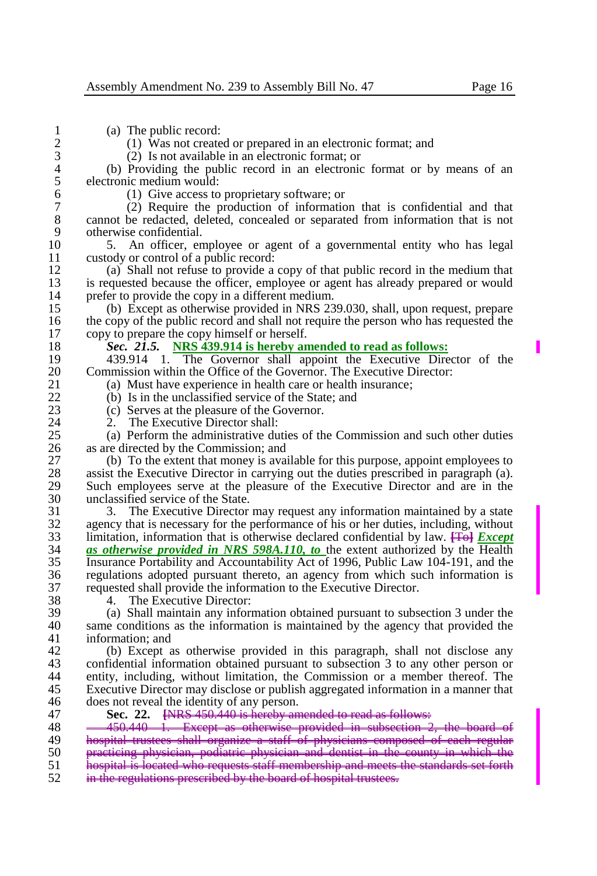$\begin{array}{cc} 1 & \text{(a)} \\ 2 & \text{(1)} \text{ Was not create} \end{array}$ 2 (1) Was not created or prepared in an electronic format; and  $(2)$  Is not available in an electronic format: or 3 (2) Is not available in an electronic format; or 4 (b) Providing the public record in an electronic format or by means of an electronic medium would: 5 electronic medium would:<br>6 (1) Give access to 6 (1) Give access to proprietary software; or 7 (2) Require the production of information that is confidential and that 8 cannot be redacted, deleted, concealed or separated from information that is not otherwise confidential. 9 otherwise confidential.<br>10 5. An officer, en 10 5. An officer, employee or agent of a governmental entity who has legal custody or control of a public record: 11 custody or control of a public record:<br>12 (a) Shall not refuse to provide a 12 (a) Shall not refuse to provide a copy of that public record in the medium that 13 is requested because the officer, employee or agent has already prepared or would<br>14 orefer to provide the copy in a different medium. 14 prefer to provide the copy in a different medium.<br>15 (b) Except as otherwise provided in NRS 23 15 (b) Except as otherwise provided in NRS 239.030, shall, upon request, prepare 16 the copy of the public record and shall not require the person who has requested the copy to prepare the copy himself or herself. copy to prepare the copy himself or herself. 18 *Sec. 21.5.* **NRS 439.914 is hereby amended to read as follows:** 19 439.914 1. The Governor shall appoint the Executive Director of the 20 Commission within the Office of the Governor. The Executive Director: 20 Commission within the Office of the Governor. The Executive Director:<br>21 (a) Must have experience in health care or health insurance: 21 (a) Must have experience in health care or health insurance;<br>22 (b) Is in the unclassified service of the State: and 22 (b) Is in the unclassified service of the State; and  $(23)$  (c) Serves at the pleasure of the Governor. 23 (c) Serves at the pleasure of the Governor.<br>24 2. The Executive Director shall: 24 2. The Executive Director shall:<br>25 (a) Perform the administrative du 25 (a) Perform the administrative duties of the Commission and such other duties 26 as are directed by the Commission: and 26 as are directed by the Commission; and 27 (b) To the extent that money is avail-27 (b) To the extent that money is available for this purpose, appoint employees to 28 assist the Executive Director in carrying out the duties prescribed in paragraph (a). 28 assist the Executive Director in carrying out the duties prescribed in paragraph (a).<br>29 Such employees serve at the pleasure of the Executive Director and are in the 29 Such employees serve at the pleasure of the Executive Director and are in the unclassified service of the State. 30 unclassified service of the State.<br>31 3. The Executive Director 31 3. The Executive Director may request any information maintained by a state 32 agency that is necessary for the performance of his or her duties, including, without 32 agency that is necessary for the performance of his or her duties, including, without  $\frac{33}{10}$  limitation, information that is otherwise declared confidential by law.  $\frac{1}{10}$  Except 33 limitation, information that is otherwise declared confidential by law. **[**To**]** *Except*  34 *as otherwise provided in NRS 598A.110, to* the extent authorized by the Health 35 Insurance Portability and Accountability Act of 1996, Public Law 104-191, and the 36 regulations adopted pursuant thereto, an agency from which such information is 37 requested shall provide the information to the Executive Director.<br>38 4. The Executive Director: 38 4. The Executive Director:<br>39 (a) Shall maintain any inform 39 (a) Shall maintain any information obtained pursuant to subsection 3 under the 40 same conditions as the information is maintained by the agency that provided the information: and information; and 42 (b) Except as otherwise provided in this paragraph, shall not disclose any<br>43 confidential information obtained pursuant to subsection 3 to any other person or 43 confidential information obtained pursuant to subsection 3 to any other person or 44 entity, including without limitation, the Commission or a member thereof. The 44 entity, including, without limitation, the Commission or a member thereof. The 45 Executive Director may disclose or publish aggregated information in a manner that does not reveal the identity of any person. 46 does not reveal the identity of any person.<br>47 Sec. 22. ENRS 450,440 is berely an 47 **Sec. 22. [**NRS 450.440 is hereby amended to read as follows: 48 450.440 1. Except as otherwise provided in subsection 2<br>49 beenitel trustees shall organize a staff of physicians composed 49 **hospital trustees shall organize a staff of physicians composed of each regular**<br>50 **prosticing physician, podiatric physician and dentist in the county in which the** 50 practicing physician, podiatric physician and dentist in the county in which the<br>51 hegmital is located who requests staff membership and meets the standards set forth  $\frac{1}{51}$  hospital is located who requests staff membership and meets the standards set forth  $\frac{1}{52}$  in the reculations prescribed by the board of bespital trustees. in the regulations prescribed by the board of hospital trustees.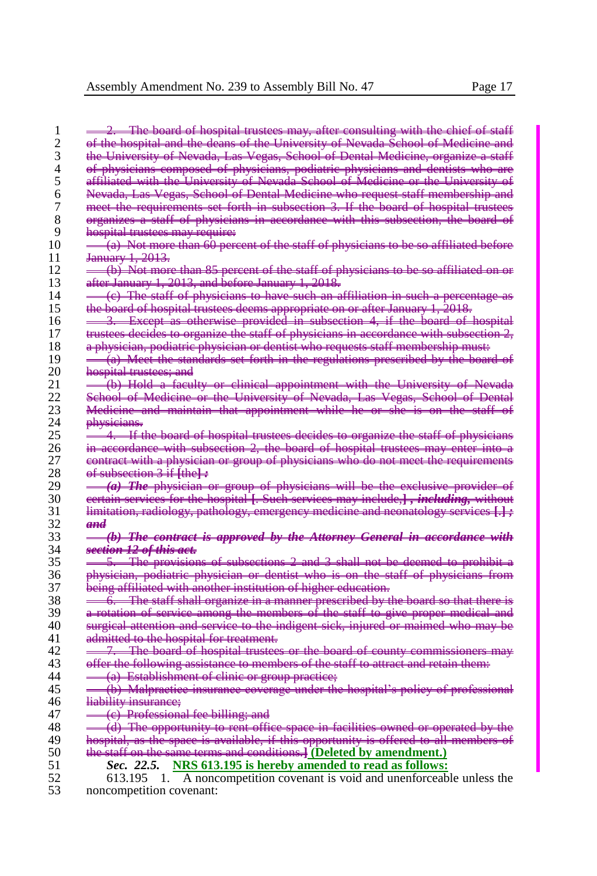$\frac{1}{2}$   $\frac{2}{\pi}$ . The board of hospital trustees may, after consulting  $\frac{1}{2}$  of the hospital and the deans of the University of Nevada 2 of the hospital and the deans of the University of Nevada School of Medicine<br>3 the University of Nevada, Las Vegas, School of Dental Medicine, organize a the University of Nevada, Las Vegas, School of Dental Medicine, organize a 4 of physicians composed of physicians, podiatric physicians and dentists 5 affiliated with the University of Nevada School of Medicine or the Univ 5 affiliated with the University of Nevada School of Medicine or the University of 6 Nevada, Las Vegas, School of Dental Medicine who request staff membership and 7 meet the requirements set forth in subsection 3. If the board of hospital 3 organizes a staff of physicians in accordance with this subsection, the 1 8 organizes a staff of physicians in accordance with this subsection, the board of the board of physicians in accordance with this subsection, the board of the board of the board of the subsection, the board of the subsect 9 hospital trustees may require:<br> $10 = \frac{(a) - \text{Not more than } 60 \text{ per}}{2}$ 10  $\frac{-}{\sqrt{a}}$  Not more than 60 percent of the staff of physicians to be so affiliated before<br>11 January 1, 2013,  $+1, 2013.$ 12  $\rightarrow$  (b) Not more than 85 percent of the staff of physicians to be so affiliated on after January 1, 2013, and before January 1, 2018. 13 after January 1, 2013, and before January 1, 2018.<br>14  $=$  (c) The staff of physicians to have such an a 14  $\equiv$  (e) The staff of physicians to have such an affiliation in such a percentage as the board of hospital trustees deems appropriate on or after January 1, 2018. 15 the board of hospital trustees deems appropriate on or after January 1, 2018.<br>16 <del>. . . . . . . Except as otherwise provided in subsection 4, if the board of ho</del>s 16 <del>3. Except as otherwise provided in subsection 4,</del> if the board of hospital provided in subsection 4, if the board of hospital of hospital processes in accessed in the board of hospital processes in accessed in the staf to organize the staff of physicians in accordance with subsection 18 a physician, podiatric physician or dentist who requests staff membership must:  $19 \rightarrow \frac{1}{10}$  Meet the standards set forth in the regulations prescribed by the board  $20 \rightarrow$  hospital trustees; and 20 hospital trustees; and<br>21 <del>- (b) Hold a facu</del> 21 <del>(b) Hold a faculty or clinical appointment with the University of Nevada</del><br>22 Sebool of Medicine or the University of Nevada Las Vecas, Sebool of Dental 22 School of Medicine or the University of Nevada, Las Vegas, School of Dental 23 Medicine and maintain that appointment while he or she is on the staff of 24 physicians.  $\frac{24}{25}$  physicians. 25 <sup>1</sup>/<sub>4</sub>. If the board of hospital trustees decides to organize the staff of physicians 26 in accordance with subsection 2, the board of hospital trustees may enter into a 26 in accordance with subsection 2, the board of hospital trustees may enter into a<br>27 eentract with a physician or group of physicians who do not meet the requirements 27 contract with a physician or group of physicians who do not meet the requirements 28 of subsection 3 if **[**the**]** *:* 29 **(a)** *The physician or group of physicians will be the exclusive provider* 30 certain services for the hospital **[**. Such services may include,**]** *, including,* without 31 limitation, radiology, pathology, emergency medicine and neonatology services **[**.**]** *;*  32 *and* 33 *(b) The contract is approved by the Attorney General in accordance with*  34 *section 12 of this act.* The provisions of subsections 2 and 3 shall not be deemed to prohibit and political and 3 shall not be deemed to prohibit and political and the political and  $\frac{1}{2}$  and  $\frac{1}{2}$  and  $\frac{1}{2}$  and  $\frac{1}{2}$  and  $\frac{1}{2}$ 36 physician, podiatric physician or dentist who is on the staff of physicians from 37 being affiliated with another institution of higher education.<br>38  $-6$  The staff shall organize in a manner prescribed by t The staff shall organize in a manner prescribed by the board so that there 39 a rotation of service among the members of the staff to give proper medical and 40 surgical attention and service to the indigent sick, injured or maimed who may be<br>41 detected to the hospital for treatment. nitted to the hospital for treatment. 42 <del>7. The board of hospital trustees or the board of county commissioners</del><br>43 **offer the following assistance to members of the staff to attract and retain them** 43 offer the following assistance to members of the staff to attract and retain them:<br>44  $-$  (a) Establishment of clinic or group practice: 44 (a) Establishment of clinic or group practice; 45 (b) Malpractice insurance coverage under the hospital's policy of professional 46 liability insurance: liability insurance; 47  $\leftarrow$  (e) Professional fee billing; and<br>48  $\leftarrow$  (d) The opportunity to rent office 48 (d) The opportunity to rent office space in facilities owned or operated by the<br>49 begritel, as the space is available, if this opportunity is offered to all members of 49 hospital, as the space is available, if this opportunity is offered to all members of  $50$  the staff on the same terms and conditions. (Deleted by amendment.) 50 the staff on the same terms and conditions.**] (Deleted by amendment.)**<br>51 Sec. 22.5. NRS 613.195 is hereby amended to read as follows: 51 *Sec. 22.5.* **NRS 613.195 is hereby amended to read as follows:**

52 613.195 1. A noncompetition covenant is void and unenforceable unless the 53 noncompetition covenant: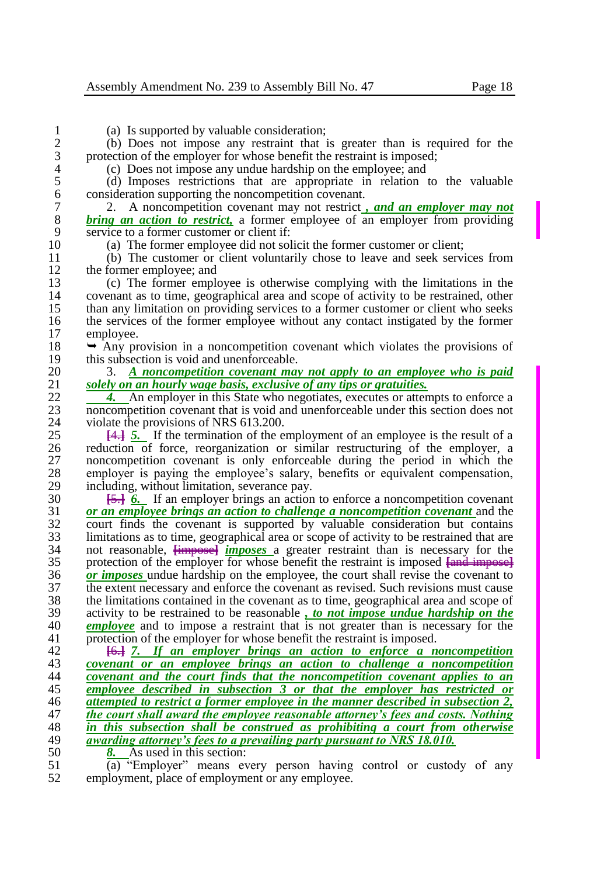1 (a) Is supported by valuable consideration;<br>2 (b) Does not impose any restraint that i 2 (b) Does not impose any restraint that is greater than is required for the protection of the employer for whose benefit the restraint is imposed; 3 protection of the employer for whose benefit the restraint is imposed;<br>4 (c) Does not impose any undue hardship on the employee: and

4 (c) Does not impose any undue hardship on the employee; and 5 (d) Imposes restrictions that are appropriate in relation t 5 (d) Imposes restrictions that are appropriate in relation to the valuable 6 consideration supporting the noncompetition covenant.<br>
2. A noncompetition covenant may not restrict.

7 2. A noncompetition covenant may not restrict *, and an employer may not*  8 **bring an action to restrict**, a former employee of an employer from providing service to a former customer or client if: 9 service to a former customer or client if:<br>10 (a) The former employee did not sol

10 (a) The former employee did not solicit the former customer or client;<br>11 (b) The customer or client voluntarily chose to leave and seek servi-

11 (b) The customer or client voluntarily chose to leave and seek services from the former employee: and 12 the former employee; and<br>13 (c) The former emplo

13 (c) The former employee is otherwise complying with the limitations in the 14 covenant as to time, geographical area and scope of activity to be restrained, other than any limitation on providing services to a former customer or client who seeks 15 than any limitation on providing services to a former customer or client who seeks the services of the former employee without any contact instigated by the former 16 the services of the former employee without any contact instigated by the former employee. employee.

18  $\rightarrow$  Any provision in a noncompetition covenant which violates the provisions of this subsection is void and unenforceable. 19 this subsection is void and unenforceable.<br>20  $\frac{3}{4}$  **A** noncompetition covenant may

20 3. *A noncompetition covenant may not apply to an employee who is paid*  21 *solely on an hourly wage basis, exclusive of any tips or gratuities.*<br>22 **4.** An employer in this State who negotiates, executes or atter

22 **4.** An employer in this State who negotiates, executes or attempts to enforce a<br>23 **honometial** covenant that is void and unenforceable under this section does not 23 noncompetition covenant that is void and unenforceable under this section does not violate the provisions of NRS 613.200. 24 violate the provisions of NRS 613.200.<br>25  $\frac{1}{4}$  5. If the termination of the e

25 **[4.] 5.** If the termination of the employment of an employee is the result of a reduction of force, reorganization or similar restructuring of the employer, a 26 reduction of force, reorganization or similar restructuring of the employer, a<br>27 noncompetition covenant is only enforceable during the period in which the 27 noncompetition covenant is only enforceable during the period in which the employer is paying the employee's salary, benefits or equivalent compensation. 28 employer is paying the employee's salary, benefits or equivalent compensation, including without limitation severance pay. 29 including, without limitation, severance pay.<br>30 **151 6** If an employer brings an action

 **[**5.**]** *6.* If an employer brings an action to enforce a noncompetition covenant *or an employee brings an action to challenge a noncompetition covenant* and the court finds the covenant is supported by valuable consideration but contains 33 limitations as to time, geographical area or scope of activity to be restrained that are<br>34 on the reasonable. **Limposed** *imposes* a greater restraint than is necessary for the 34 not reasonable,  $\frac{imposes}{imposes}$  *imposes* a greater restraint than is necessary for the protection of the employer for whose benefit the restraint is imposed lead imposed protection of the employer for whose benefit the restraint is imposed **[**and impose**] 36** *or imposes* undue hardship on the employee, the court shall revise the covenant to the extent necessary and enforce the covenant as revised. Such revisions must cause 37 the extent necessary and enforce the covenant as revised. Such revisions must cause the limitations contained in the covenant as to time, geographical area and scope of 38 the limitations contained in the covenant as to time, geographical area and scope of activity to be restrained to be reasonable. *to not impose undue hardship on the*  activity to be restrained to be reasonable *, to not impose undue hardship on the employee* and to impose a restraint that is not greater than is necessary for the protection of the employer for whose benefit the restraint is imposed.

 **[**6.**]** *7. If an employer brings an action to enforce a noncompetition covenant or an employee brings an action to challenge a noncompetition covenant and the court finds that the noncompetition covenant applies to an*  **employee described in subsection 3 or that the employer has restricted or** attempted to restrict a former employee in the manner described in subsection 2. *attempted to restrict a former employee in the manner described in subsection 2, the court shall award the employee reasonable attorney's fees and costs. Nothing in this subsection shall be construed as prohibiting a court from otherwise awarding attorney's fees to a prevailing party pursuant to NRS 18.010.*<br>50 **8.** As used in this section:

50  $\frac{8}{(a)}$  As used in this section:<br>51  $\frac{8}{(b)}$  "Employer" means ev

 $\overline{51}$  (a) "Employer" means every person having control or custody of any employment place of employment or any employee. employment, place of employment or any employee.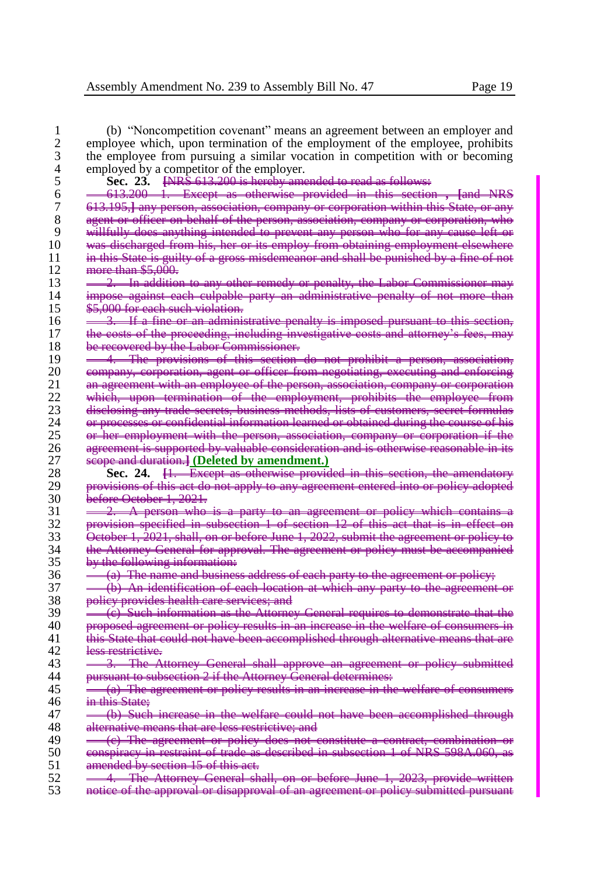| 1  | (b) "Noncompetition covenant" means an agreement between an employer and                         |
|----|--------------------------------------------------------------------------------------------------|
| 2  | employee which, upon termination of the employment of the employee, prohibits                    |
| 3  | the employee from pursuing a similar vocation in competition with or becoming                    |
| 4  | employed by a competitor of the employer.                                                        |
| 5  | Sec. 23. <del>[NRS 613.200 is hereby amended to read as follows:</del>                           |
| 6  | 613.200 1. Except as otherwise provided in this section, [and NRS                                |
| 7  |                                                                                                  |
|    | 613.195,] any person, association, company or corporation within this State, or any              |
| 8  | agent or officer on behalf of the person, association, company or corporation, who               |
| 9  | willfully does anything intended to prevent any person who for any cause left or                 |
| 10 | was discharged from his, her or its employ from obtaining employment elsewhere                   |
| 11 | <del>in this State is guilty of a gross misdemeanor and shall be punished by a fine of not</del> |
| 12 | more than \$5,000.                                                                               |
| 13 | 2. In addition to any other remedy or penalty, the Labor Commissioner may                        |
| 14 | impose against each culpable party an administrative penalty of not more than                    |
| 15 | \$5.000 for each such violation.                                                                 |
| 16 | 3. If a fine or an administrative penalty is imposed pursuant to this section,                   |
| 17 | the costs of the proceeding, including investigative costs and attorney's fees, may              |
| 18 | be recovered by the Labor Commissioner.                                                          |
| 19 | 4. The provisions of this section do not prohibit a person, association,                         |
| 20 | company, corporation, agent or officer from negotiating, executing and enforcing                 |
| 21 | an agreement with an employee of the person, association, company or corporation                 |
| 22 | which, upon termination of the employment, prohibits the employee from                           |
| 23 | disclosing any trade secrets, business methods, lists of customers, secret formulas              |
|    |                                                                                                  |
| 24 | or processes or confidential information learned or obtained during the course of his            |
| 25 | <u>or her employment with the person, association, company or corporation if the</u>             |
| 26 | agreement is supported by valuable consideration and is otherwise reasonable in its              |
| 27 | scope and duration] (Deleted by amendment.)                                                      |
| 28 | Sec. 24. <del>[1. Except as otherwise provided in this section, the amendatory</del>             |
| 29 | provisions of this act do not apply to any agreement entered into or policy adopted              |
| 30 | before October 1, 2021.                                                                          |
| 31 | 2. A person who is a party to an agreement or policy which contains a                            |
| 32 | provision specified in subsection 1 of section 12 of this act that is in effect on               |
| 33 | October 1, 2021, shall, on or before June 1, 2022, submit the agreement or policy to             |
| 34 | the Attorney General for approval. The agreement or policy must be accompanied                   |
| 35 | by the following information:                                                                    |
| 36 | $\frac{1}{\sqrt{2}}$ (a) The name and business address of each party to the agreement or policy; |
| 37 | (b) An identification of each location at which any party to the agreement or                    |
| 38 | policy provides health care services; and                                                        |
| 39 | (e) Such information as the Attorney General requires to demonstrate that the                    |
|    |                                                                                                  |
| 40 | proposed agreement or policy results in an increase in the welfare of consumers in               |
| 41 | this State that could not have been accomplished through alternative means that are              |
| 42 | less restrictive.                                                                                |
| 43 | 3. The Attorney General shall approve an agreement or policy submitted                           |
| 44 | pursuant to subsection 2 if the Attorney General determines:                                     |
| 45 | (a) The agreement or policy results in an increase in the welfare of consumers                   |
| 46 | <del>in this State:</del>                                                                        |
| 47 | (b) Such increase in the welfare could not have been accomplished through                        |
| 48 | alternative means that are less restrictive; and                                                 |
| 49 | (c) The agreement or policy does not constitute a contract, combination or                       |
| 50 | conspiracy in restraint of trade as described in subsection 1 of NRS 598A.060, as                |
| 51 | amended by section 15 of this act.                                                               |
| 52 | -4. The Attorney General shall, on or before June 1, 2023, provide written                       |
| 53 | notice of the approval or disapproval of an agreement or policy submitted pursuant               |
|    |                                                                                                  |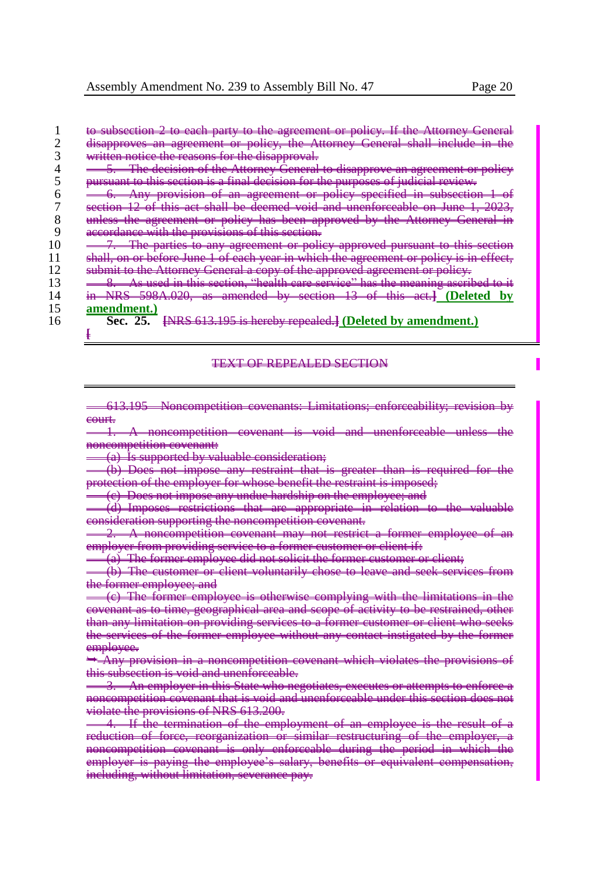|    | to subsection 2 to each party to the agreement or policy. If the Attorney Genera                                                                                                                          |
|----|-----------------------------------------------------------------------------------------------------------------------------------------------------------------------------------------------------------|
|    | disapproves an agreement or policy, the Attorney General<br>choll include in<br><del>ondi noutro ni</del>                                                                                                 |
|    | written notice the reasons for the disenvesse<br><del>whiteh house the reasons for the theapproval.</del>                                                                                                 |
|    | The degision of the Attorney Congral to disconveys on acrogament or n<br><del>an agreement or ponej</del><br><del>to unaupprove</del><br><del>na uccionon or une rutorne</del>                            |
|    | purguant to this soction is a final desigion for the purposes of indicial review.<br><del>a mar accionom roi</del>                                                                                        |
|    | on correspond or policy epocified in expectition<br>Ante neotheron<br><del>provision of an agreement of poncy specified in subsection.</del>                                                              |
|    | of this est shall be deemed you and unanforceable on June<br><del>- 1999</del> - 1999 -<br><del>uns au snan ou uucmuu voru allu unchiofeable on June 1,</del>                                             |
|    | the agreement or policy has been approved by the Attorney General<br><del>uneoo-</del>                                                                                                                    |
|    | esserdence with the provisions of this section<br><del>accordance with the</del><br><b>DIVISION</b>                                                                                                       |
|    | The parties to any agreement or policy approved pursuant to this secti<br><del>to this seedon</del>                                                                                                       |
|    | or poliou is in offset<br>shall an arkafara June 1 of each your in which the egreement<br><del>winch the agreement or pointy is in cricer,</del><br><del>shah, on or before same 1 or caen year in-</del> |
|    | Attorney Canaral a conv of the environed economiation<br><del>sucum to the Attorney Ocnerar a copy or the approved agreement or poney.</del>                                                              |
|    | n this soction. Theolth gave somice? her the meaning escribed<br><del>As uscu in uns scenon, - neum cure scryice - nus ure incumi<u>t</u> uscrio</del>                                                    |
|    | 598A.020, as amended by section 13 of this act.]<br><b>NID C</b><br>Deleted<br>- 11 12 13 14                                                                                                              |
|    | amendment.                                                                                                                                                                                                |
| 16 | <b>ENRS</b> 613.195 is hereby repealed.] (Deleted by amendment.)<br>Sec. 25                                                                                                                               |
|    |                                                                                                                                                                                                           |

#### TEXT OF REPEALED SECTION

613.195 Noncompetition covenants: Limitations; enforceability; revision by court.

oncompetition covenant is void and unenforceable noncompetition covenant:

(a) Is supported by valuable consideration;

(b) Does not impose any restraint that is greater than is required for the protection of the employer for whose benefit the restraint is imposed;

<del>on the employee; and</del>

(d) Imposes restrictions that are appropriate in relation to the valuable mpetition supporting the magic  $\epsilon$ 

2. A noncompetition covenant may not restrict a former employee of an employer from providing service to a former customer or client if:

The former employee did not solicit the former customer or

The customer or client voluntarily chose to leave and seek

<del>ormer employe</del><br>(e) The former employee is otherwise complying with the limitations geographical area and scope of activity to be restrained  $\epsilon$  as to time, geographical area and scope of activity to be any limitation on providing services to a former customer or client who see vices of the former employee without any contact instigated by the forme employee.

noncompetition covenant which violates the provisions <del>void and unenforceable.</del>

in this State who negotiates, executes or attempts to enforce petition covenant that is void and unenforceable under this section does n te the provisions of NRS 613.200.

**11 the termination of the employment of an employee is the result of an employee is the result of a**<br>**11 of force, reorganization or similar restructuring of the** restructuring of the<br>during the period ncompetition covenant is only enforceable during the period in which the period in which the period in which t<br>plover is paying the employee's salary, benefits or equi employer is paying the employee's salary, benefits or equivalent compensation, including, without limitation, severance pay.